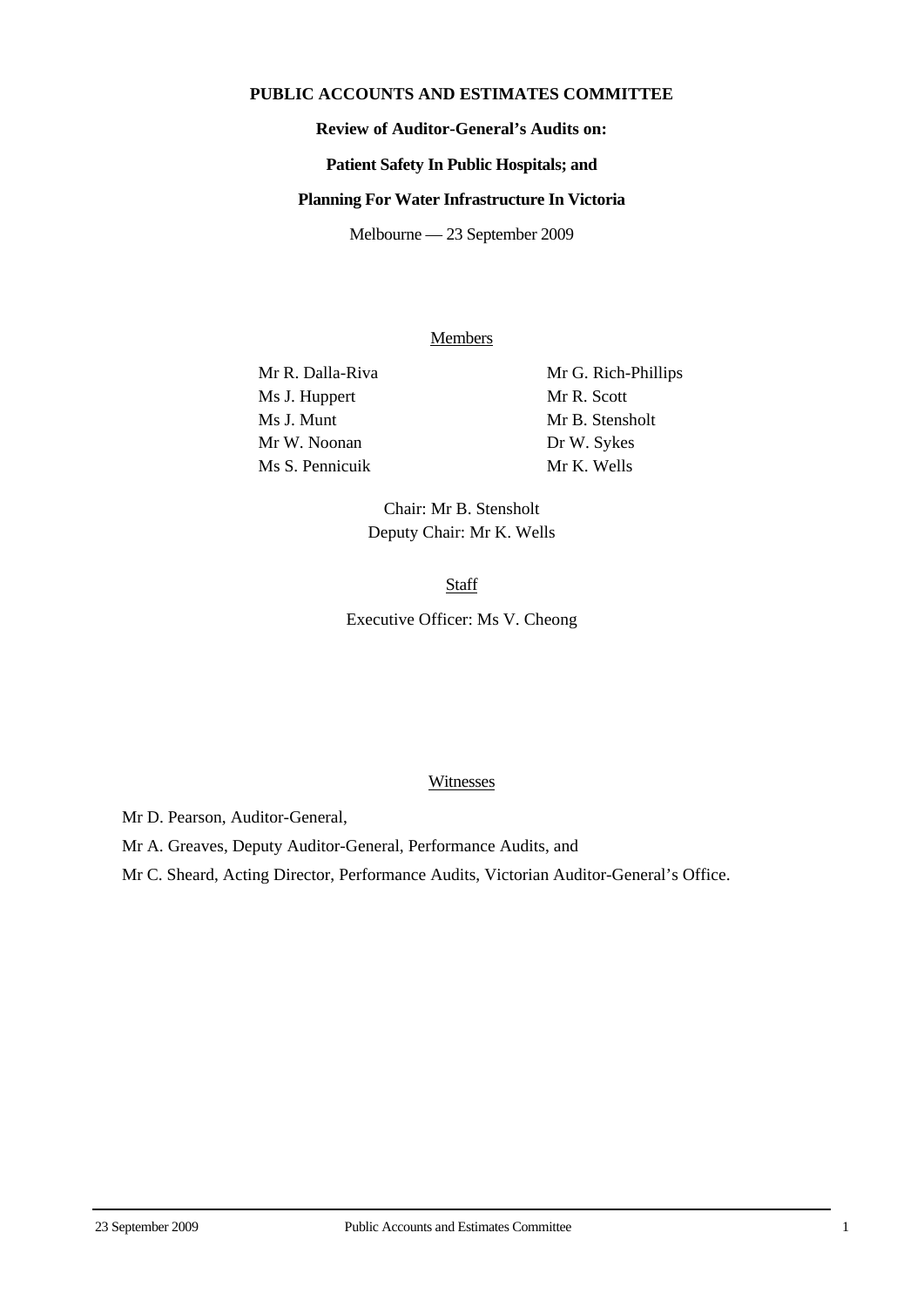# **PUBLIC ACCOUNTS AND ESTIMATES COMMITTEE**

# **Review of Auditor-General's Audits on:**

#### **Patient Safety In Public Hospitals; and**

#### **Planning For Water Infrastructure In Victoria**

Melbourne — 23 September 2009

## Members

Mr R. Dalla-Riva Mr G. Rich-Phillips Ms J. Huppert Mr R. Scott Ms J. Munt Mr B. Stensholt Mr W. Noonan Dr W. Sykes Ms S. Pennicuik Mr K. Wells

Chair: Mr B. Stensholt Deputy Chair: Mr K. Wells

**Staff** 

Executive Officer: Ms V. Cheong

### **Witnesses**

Mr D. Pearson, Auditor-General,

Mr A. Greaves, Deputy Auditor-General, Performance Audits, and

Mr C. Sheard, Acting Director, Performance Audits, Victorian Auditor-General's Office.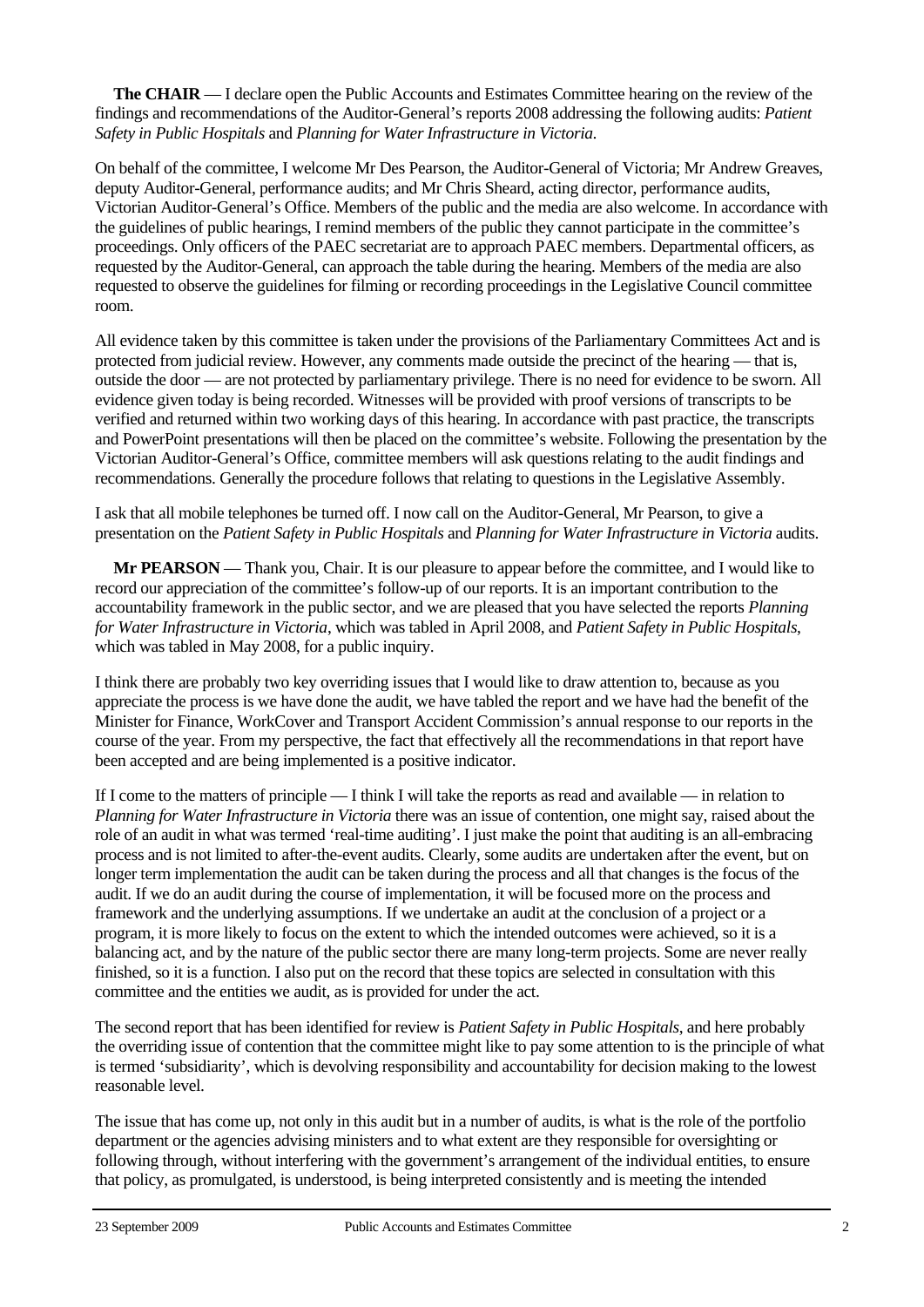**The CHAIR** — I declare open the Public Accounts and Estimates Committee hearing on the review of the findings and recommendations of the Auditor-General's reports 2008 addressing the following audits: *Patient Safety in Public Hospitals* and *Planning for Water Infrastructure in Victoria*.

On behalf of the committee, I welcome Mr Des Pearson, the Auditor-General of Victoria; Mr Andrew Greaves, deputy Auditor-General, performance audits; and Mr Chris Sheard, acting director, performance audits, Victorian Auditor-General's Office. Members of the public and the media are also welcome. In accordance with the guidelines of public hearings, I remind members of the public they cannot participate in the committee's proceedings. Only officers of the PAEC secretariat are to approach PAEC members. Departmental officers, as requested by the Auditor-General, can approach the table during the hearing. Members of the media are also requested to observe the guidelines for filming or recording proceedings in the Legislative Council committee room.

All evidence taken by this committee is taken under the provisions of the Parliamentary Committees Act and is protected from judicial review. However, any comments made outside the precinct of the hearing — that is, outside the door — are not protected by parliamentary privilege. There is no need for evidence to be sworn. All evidence given today is being recorded. Witnesses will be provided with proof versions of transcripts to be verified and returned within two working days of this hearing. In accordance with past practice, the transcripts and PowerPoint presentations will then be placed on the committee's website. Following the presentation by the Victorian Auditor-General's Office, committee members will ask questions relating to the audit findings and recommendations. Generally the procedure follows that relating to questions in the Legislative Assembly.

I ask that all mobile telephones be turned off. I now call on the Auditor-General, Mr Pearson, to give a presentation on the *Patient Safety in Public Hospitals* and *Planning for Water Infrastructure in Victoria* audits.

**Mr PEARSON** — Thank you, Chair. It is our pleasure to appear before the committee, and I would like to record our appreciation of the committee's follow-up of our reports. It is an important contribution to the accountability framework in the public sector, and we are pleased that you have selected the reports *Planning for Water Infrastructure in Victoria*, which was tabled in April 2008, and *Patient Safety in Public Hospitals*, which was tabled in May 2008, for a public inquiry.

I think there are probably two key overriding issues that I would like to draw attention to, because as you appreciate the process is we have done the audit, we have tabled the report and we have had the benefit of the Minister for Finance, WorkCover and Transport Accident Commission's annual response to our reports in the course of the year. From my perspective, the fact that effectively all the recommendations in that report have been accepted and are being implemented is a positive indicator.

If I come to the matters of principle — I think I will take the reports as read and available — in relation to *Planning for Water Infrastructure in Victoria* there was an issue of contention, one might say, raised about the role of an audit in what was termed 'real-time auditing'. I just make the point that auditing is an all-embracing process and is not limited to after-the-event audits. Clearly, some audits are undertaken after the event, but on longer term implementation the audit can be taken during the process and all that changes is the focus of the audit. If we do an audit during the course of implementation, it will be focused more on the process and framework and the underlying assumptions. If we undertake an audit at the conclusion of a project or a program, it is more likely to focus on the extent to which the intended outcomes were achieved, so it is a balancing act, and by the nature of the public sector there are many long-term projects. Some are never really finished, so it is a function. I also put on the record that these topics are selected in consultation with this committee and the entities we audit, as is provided for under the act.

The second report that has been identified for review is *Patient Safety in Public Hospitals*, and here probably the overriding issue of contention that the committee might like to pay some attention to is the principle of what is termed 'subsidiarity', which is devolving responsibility and accountability for decision making to the lowest reasonable level.

The issue that has come up, not only in this audit but in a number of audits, is what is the role of the portfolio department or the agencies advising ministers and to what extent are they responsible for oversighting or following through, without interfering with the government's arrangement of the individual entities, to ensure that policy, as promulgated, is understood, is being interpreted consistently and is meeting the intended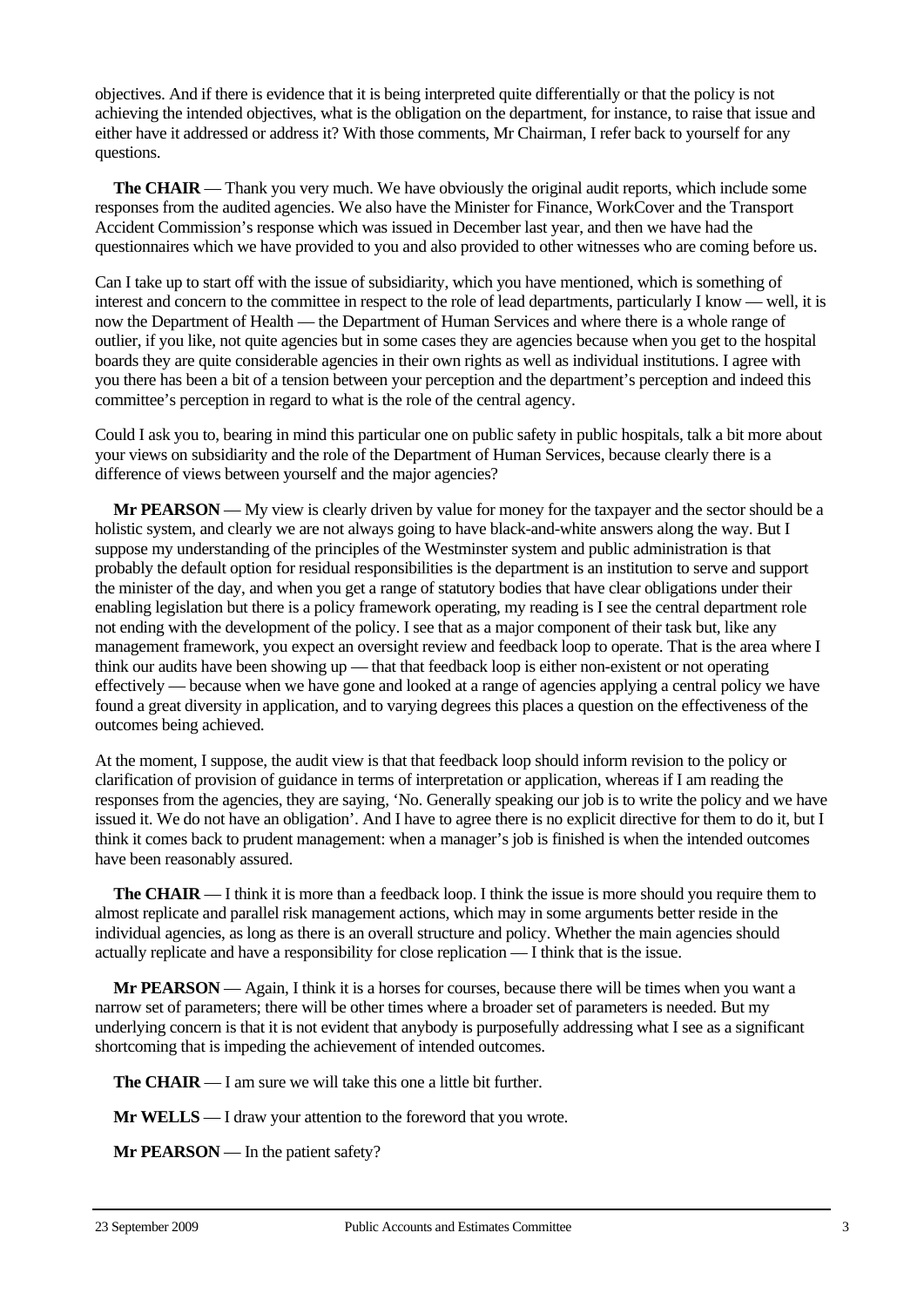objectives. And if there is evidence that it is being interpreted quite differentially or that the policy is not achieving the intended objectives, what is the obligation on the department, for instance, to raise that issue and either have it addressed or address it? With those comments, Mr Chairman, I refer back to yourself for any questions.

**The CHAIR** — Thank you very much. We have obviously the original audit reports, which include some responses from the audited agencies. We also have the Minister for Finance, WorkCover and the Transport Accident Commission's response which was issued in December last year, and then we have had the questionnaires which we have provided to you and also provided to other witnesses who are coming before us.

Can I take up to start off with the issue of subsidiarity, which you have mentioned, which is something of interest and concern to the committee in respect to the role of lead departments, particularly I know — well, it is now the Department of Health — the Department of Human Services and where there is a whole range of outlier, if you like, not quite agencies but in some cases they are agencies because when you get to the hospital boards they are quite considerable agencies in their own rights as well as individual institutions. I agree with you there has been a bit of a tension between your perception and the department's perception and indeed this committee's perception in regard to what is the role of the central agency.

Could I ask you to, bearing in mind this particular one on public safety in public hospitals, talk a bit more about your views on subsidiarity and the role of the Department of Human Services, because clearly there is a difference of views between yourself and the major agencies?

**Mr PEARSON** — My view is clearly driven by value for money for the taxpayer and the sector should be a holistic system, and clearly we are not always going to have black-and-white answers along the way. But I suppose my understanding of the principles of the Westminster system and public administration is that probably the default option for residual responsibilities is the department is an institution to serve and support the minister of the day, and when you get a range of statutory bodies that have clear obligations under their enabling legislation but there is a policy framework operating, my reading is I see the central department role not ending with the development of the policy. I see that as a major component of their task but, like any management framework, you expect an oversight review and feedback loop to operate. That is the area where I think our audits have been showing up — that that feedback loop is either non-existent or not operating effectively — because when we have gone and looked at a range of agencies applying a central policy we have found a great diversity in application, and to varying degrees this places a question on the effectiveness of the outcomes being achieved.

At the moment, I suppose, the audit view is that that feedback loop should inform revision to the policy or clarification of provision of guidance in terms of interpretation or application, whereas if I am reading the responses from the agencies, they are saying, 'No. Generally speaking our job is to write the policy and we have issued it. We do not have an obligation'. And I have to agree there is no explicit directive for them to do it, but I think it comes back to prudent management: when a manager's job is finished is when the intended outcomes have been reasonably assured.

**The CHAIR** — I think it is more than a feedback loop. I think the issue is more should you require them to almost replicate and parallel risk management actions, which may in some arguments better reside in the individual agencies, as long as there is an overall structure and policy. Whether the main agencies should actually replicate and have a responsibility for close replication — I think that is the issue.

**Mr PEARSON** — Again, I think it is a horses for courses, because there will be times when you want a narrow set of parameters; there will be other times where a broader set of parameters is needed. But my underlying concern is that it is not evident that anybody is purposefully addressing what I see as a significant shortcoming that is impeding the achievement of intended outcomes.

**The CHAIR** — I am sure we will take this one a little bit further.

**Mr WELLS** — I draw your attention to the foreword that you wrote.

**Mr PEARSON** — In the patient safety?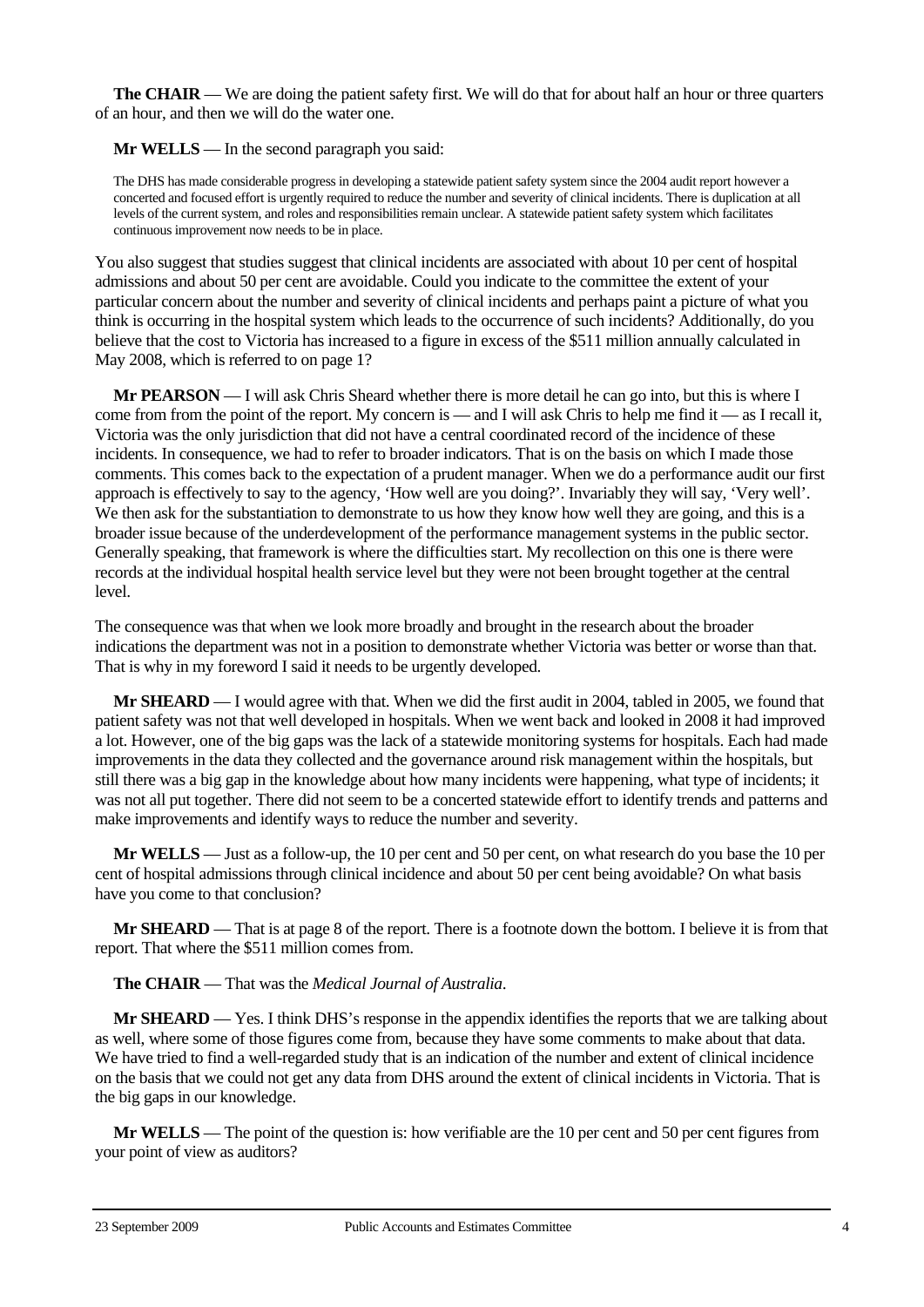**The CHAIR** — We are doing the patient safety first. We will do that for about half an hour or three quarters of an hour, and then we will do the water one.

**Mr WELLS** — In the second paragraph you said:

The DHS has made considerable progress in developing a statewide patient safety system since the 2004 audit report however a concerted and focused effort is urgently required to reduce the number and severity of clinical incidents. There is duplication at all levels of the current system, and roles and responsibilities remain unclear. A statewide patient safety system which facilitates continuous improvement now needs to be in place.

You also suggest that studies suggest that clinical incidents are associated with about 10 per cent of hospital admissions and about 50 per cent are avoidable. Could you indicate to the committee the extent of your particular concern about the number and severity of clinical incidents and perhaps paint a picture of what you think is occurring in the hospital system which leads to the occurrence of such incidents? Additionally, do you believe that the cost to Victoria has increased to a figure in excess of the \$511 million annually calculated in May 2008, which is referred to on page 1?

**Mr PEARSON** — I will ask Chris Sheard whether there is more detail he can go into, but this is where I come from from the point of the report. My concern is — and I will ask Chris to help me find it — as I recall it, Victoria was the only jurisdiction that did not have a central coordinated record of the incidence of these incidents. In consequence, we had to refer to broader indicators. That is on the basis on which I made those comments. This comes back to the expectation of a prudent manager. When we do a performance audit our first approach is effectively to say to the agency, 'How well are you doing?'. Invariably they will say, 'Very well'. We then ask for the substantiation to demonstrate to us how they know how well they are going, and this is a broader issue because of the underdevelopment of the performance management systems in the public sector. Generally speaking, that framework is where the difficulties start. My recollection on this one is there were records at the individual hospital health service level but they were not been brought together at the central level.

The consequence was that when we look more broadly and brought in the research about the broader indications the department was not in a position to demonstrate whether Victoria was better or worse than that. That is why in my foreword I said it needs to be urgently developed.

**Mr SHEARD** — I would agree with that. When we did the first audit in 2004, tabled in 2005, we found that patient safety was not that well developed in hospitals. When we went back and looked in 2008 it had improved a lot. However, one of the big gaps was the lack of a statewide monitoring systems for hospitals. Each had made improvements in the data they collected and the governance around risk management within the hospitals, but still there was a big gap in the knowledge about how many incidents were happening, what type of incidents; it was not all put together. There did not seem to be a concerted statewide effort to identify trends and patterns and make improvements and identify ways to reduce the number and severity.

**Mr WELLS** — Just as a follow-up, the 10 per cent and 50 per cent, on what research do you base the 10 per cent of hospital admissions through clinical incidence and about 50 per cent being avoidable? On what basis have you come to that conclusion?

**Mr SHEARD** — That is at page 8 of the report. There is a footnote down the bottom. I believe it is from that report. That where the \$511 million comes from.

**The CHAIR** — That was the *Medical Journal of Australia*.

**Mr SHEARD** — Yes. I think DHS's response in the appendix identifies the reports that we are talking about as well, where some of those figures come from, because they have some comments to make about that data. We have tried to find a well-regarded study that is an indication of the number and extent of clinical incidence on the basis that we could not get any data from DHS around the extent of clinical incidents in Victoria. That is the big gaps in our knowledge.

**Mr WELLS** — The point of the question is: how verifiable are the 10 per cent and 50 per cent figures from your point of view as auditors?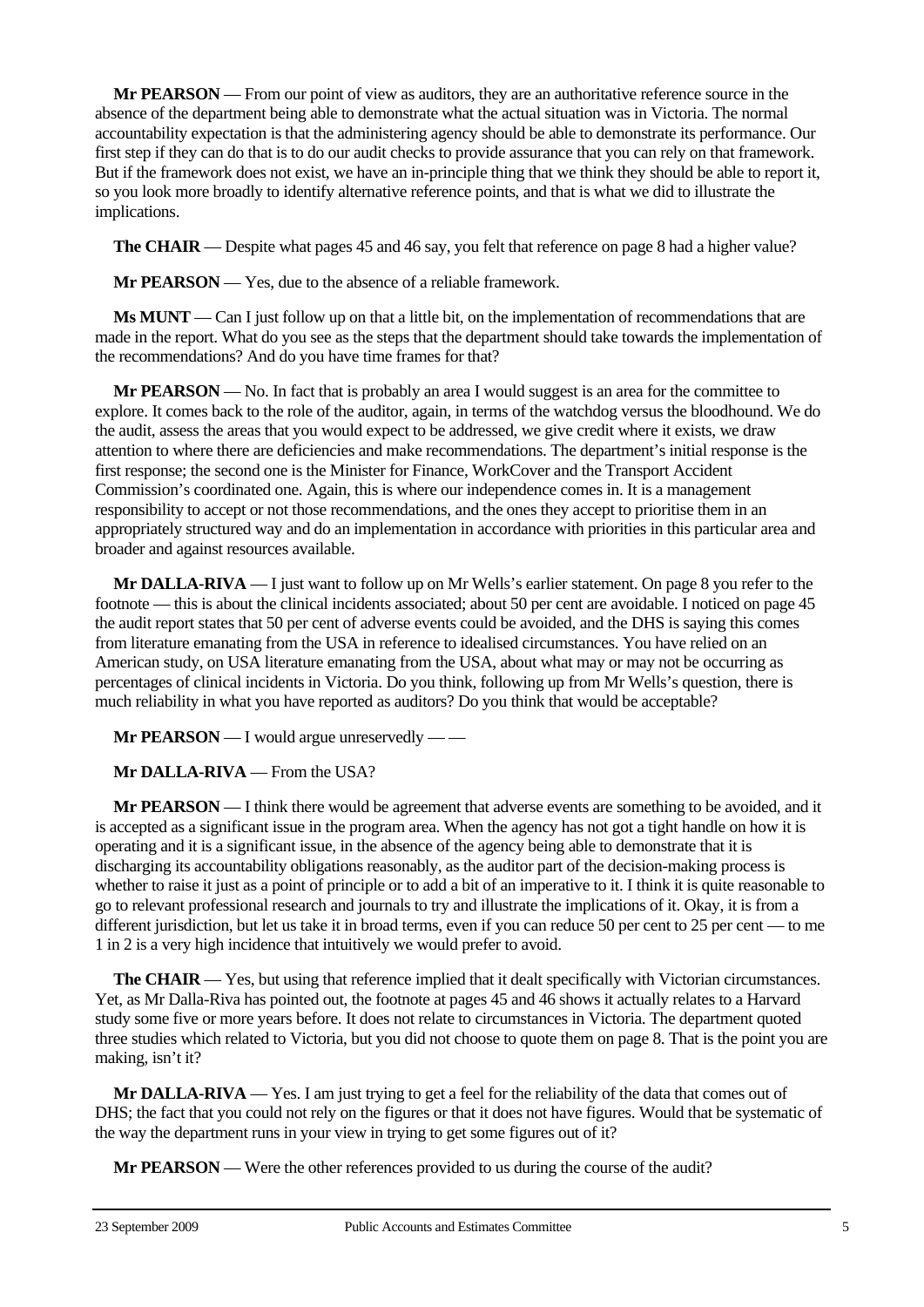**Mr PEARSON** — From our point of view as auditors, they are an authoritative reference source in the absence of the department being able to demonstrate what the actual situation was in Victoria. The normal accountability expectation is that the administering agency should be able to demonstrate its performance. Our first step if they can do that is to do our audit checks to provide assurance that you can rely on that framework. But if the framework does not exist, we have an in-principle thing that we think they should be able to report it, so you look more broadly to identify alternative reference points, and that is what we did to illustrate the implications.

**The CHAIR** — Despite what pages 45 and 46 say, you felt that reference on page 8 had a higher value?

**Mr PEARSON** — Yes, due to the absence of a reliable framework.

**Ms MUNT** — Can I just follow up on that a little bit, on the implementation of recommendations that are made in the report. What do you see as the steps that the department should take towards the implementation of the recommendations? And do you have time frames for that?

**Mr PEARSON** — No. In fact that is probably an area I would suggest is an area for the committee to explore. It comes back to the role of the auditor, again, in terms of the watchdog versus the bloodhound. We do the audit, assess the areas that you would expect to be addressed, we give credit where it exists, we draw attention to where there are deficiencies and make recommendations. The department's initial response is the first response; the second one is the Minister for Finance, WorkCover and the Transport Accident Commission's coordinated one. Again, this is where our independence comes in. It is a management responsibility to accept or not those recommendations, and the ones they accept to prioritise them in an appropriately structured way and do an implementation in accordance with priorities in this particular area and broader and against resources available.

**Mr DALLA-RIVA** — I just want to follow up on Mr Wells's earlier statement. On page 8 you refer to the footnote — this is about the clinical incidents associated; about 50 per cent are avoidable. I noticed on page 45 the audit report states that 50 per cent of adverse events could be avoided, and the DHS is saying this comes from literature emanating from the USA in reference to idealised circumstances. You have relied on an American study, on USA literature emanating from the USA, about what may or may not be occurring as percentages of clinical incidents in Victoria. Do you think, following up from Mr Wells's question, there is much reliability in what you have reported as auditors? Do you think that would be acceptable?

**Mr PEARSON** — I would argue unreservedly — —

**Mr DALLA-RIVA** — From the USA?

**Mr PEARSON** — I think there would be agreement that adverse events are something to be avoided, and it is accepted as a significant issue in the program area. When the agency has not got a tight handle on how it is operating and it is a significant issue, in the absence of the agency being able to demonstrate that it is discharging its accountability obligations reasonably, as the auditor part of the decision-making process is whether to raise it just as a point of principle or to add a bit of an imperative to it. I think it is quite reasonable to go to relevant professional research and journals to try and illustrate the implications of it. Okay, it is from a different jurisdiction, but let us take it in broad terms, even if you can reduce 50 per cent to 25 per cent — to me 1 in 2 is a very high incidence that intuitively we would prefer to avoid.

**The CHAIR** — Yes, but using that reference implied that it dealt specifically with Victorian circumstances. Yet, as Mr Dalla-Riva has pointed out, the footnote at pages 45 and 46 shows it actually relates to a Harvard study some five or more years before. It does not relate to circumstances in Victoria. The department quoted three studies which related to Victoria, but you did not choose to quote them on page 8. That is the point you are making, isn't it?

**Mr DALLA-RIVA** — Yes. I am just trying to get a feel for the reliability of the data that comes out of DHS; the fact that you could not rely on the figures or that it does not have figures. Would that be systematic of the way the department runs in your view in trying to get some figures out of it?

**Mr PEARSON** — Were the other references provided to us during the course of the audit?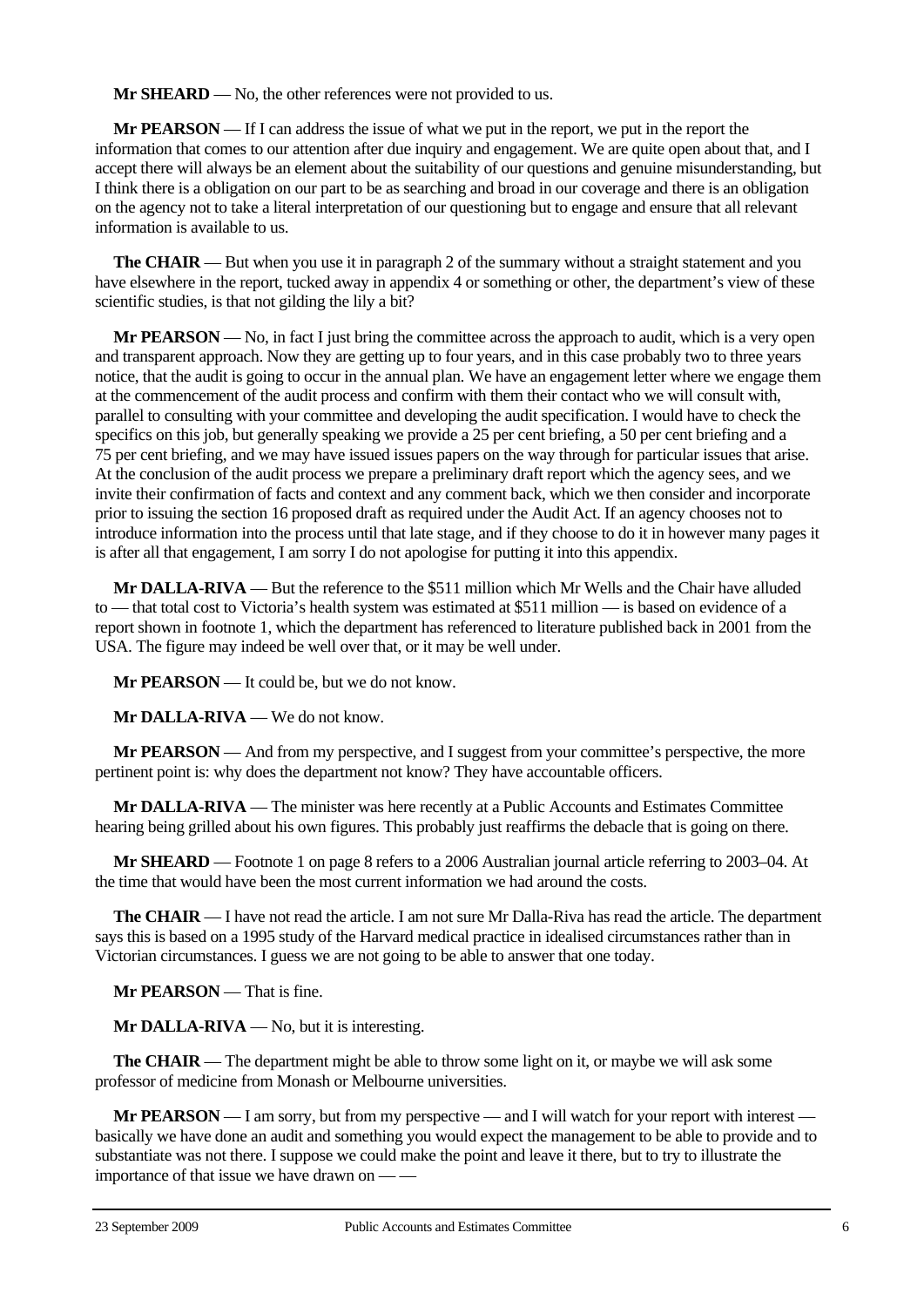**Mr SHEARD** — No, the other references were not provided to us.

**Mr PEARSON** — If I can address the issue of what we put in the report, we put in the report the information that comes to our attention after due inquiry and engagement. We are quite open about that, and I accept there will always be an element about the suitability of our questions and genuine misunderstanding, but I think there is a obligation on our part to be as searching and broad in our coverage and there is an obligation on the agency not to take a literal interpretation of our questioning but to engage and ensure that all relevant information is available to us.

**The CHAIR** — But when you use it in paragraph 2 of the summary without a straight statement and you have elsewhere in the report, tucked away in appendix 4 or something or other, the department's view of these scientific studies, is that not gilding the lily a bit?

**Mr PEARSON** — No, in fact I just bring the committee across the approach to audit, which is a very open and transparent approach. Now they are getting up to four years, and in this case probably two to three years notice, that the audit is going to occur in the annual plan. We have an engagement letter where we engage them at the commencement of the audit process and confirm with them their contact who we will consult with, parallel to consulting with your committee and developing the audit specification. I would have to check the specifics on this job, but generally speaking we provide a 25 per cent briefing, a 50 per cent briefing and a 75 per cent briefing, and we may have issued issues papers on the way through for particular issues that arise. At the conclusion of the audit process we prepare a preliminary draft report which the agency sees, and we invite their confirmation of facts and context and any comment back, which we then consider and incorporate prior to issuing the section 16 proposed draft as required under the Audit Act. If an agency chooses not to introduce information into the process until that late stage, and if they choose to do it in however many pages it is after all that engagement, I am sorry I do not apologise for putting it into this appendix.

**Mr DALLA-RIVA** — But the reference to the \$511 million which Mr Wells and the Chair have alluded to — that total cost to Victoria's health system was estimated at \$511 million — is based on evidence of a report shown in footnote 1, which the department has referenced to literature published back in 2001 from the USA. The figure may indeed be well over that, or it may be well under.

**Mr PEARSON** — It could be, but we do not know.

**Mr DALLA-RIVA** — We do not know.

**Mr PEARSON** — And from my perspective, and I suggest from your committee's perspective, the more pertinent point is: why does the department not know? They have accountable officers.

**Mr DALLA-RIVA** — The minister was here recently at a Public Accounts and Estimates Committee hearing being grilled about his own figures. This probably just reaffirms the debacle that is going on there.

**Mr SHEARD** — Footnote 1 on page 8 refers to a 2006 Australian journal article referring to 2003–04. At the time that would have been the most current information we had around the costs.

**The CHAIR** — I have not read the article. I am not sure Mr Dalla-Riva has read the article. The department says this is based on a 1995 study of the Harvard medical practice in idealised circumstances rather than in Victorian circumstances. I guess we are not going to be able to answer that one today.

**Mr PEARSON** — That is fine.

**Mr DALLA-RIVA** — No, but it is interesting.

**The CHAIR** — The department might be able to throw some light on it, or maybe we will ask some professor of medicine from Monash or Melbourne universities.

**Mr PEARSON** — I am sorry, but from my perspective — and I will watch for your report with interest basically we have done an audit and something you would expect the management to be able to provide and to substantiate was not there. I suppose we could make the point and leave it there, but to try to illustrate the importance of that issue we have drawn on — —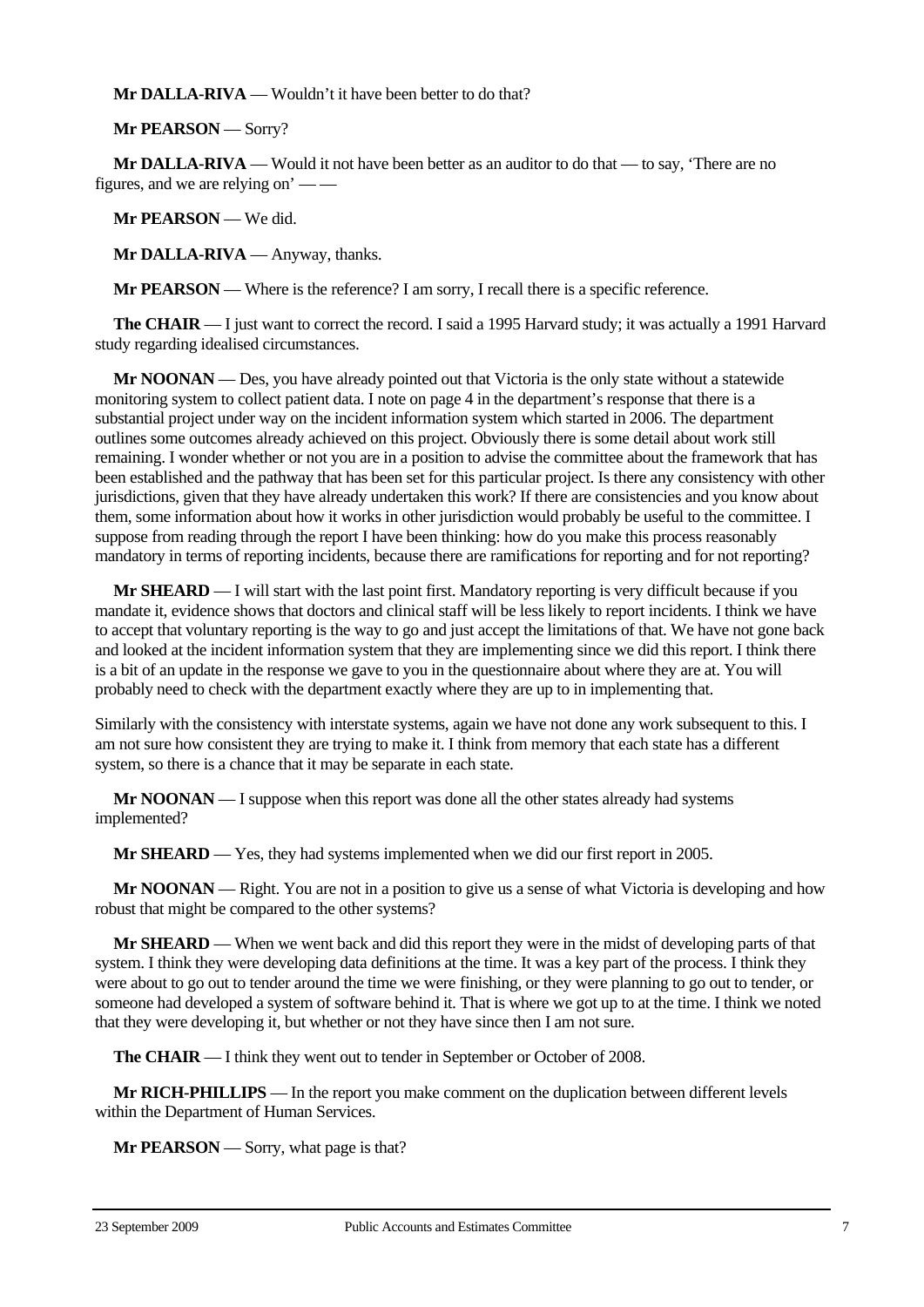**Mr DALLA-RIVA** — Wouldn't it have been better to do that?

**Mr PEARSON** — Sorry?

**Mr DALLA-RIVA** — Would it not have been better as an auditor to do that — to say, 'There are no figures, and we are relying on' — —

**Mr PEARSON** — We did.

**Mr DALLA-RIVA** — Anyway, thanks.

**Mr PEARSON** — Where is the reference? I am sorry, I recall there is a specific reference.

**The CHAIR** — I just want to correct the record. I said a 1995 Harvard study; it was actually a 1991 Harvard study regarding idealised circumstances.

**Mr NOONAN** — Des, you have already pointed out that Victoria is the only state without a statewide monitoring system to collect patient data. I note on page 4 in the department's response that there is a substantial project under way on the incident information system which started in 2006. The department outlines some outcomes already achieved on this project. Obviously there is some detail about work still remaining. I wonder whether or not you are in a position to advise the committee about the framework that has been established and the pathway that has been set for this particular project. Is there any consistency with other jurisdictions, given that they have already undertaken this work? If there are consistencies and you know about them, some information about how it works in other jurisdiction would probably be useful to the committee. I suppose from reading through the report I have been thinking: how do you make this process reasonably mandatory in terms of reporting incidents, because there are ramifications for reporting and for not reporting?

**Mr SHEARD** — I will start with the last point first. Mandatory reporting is very difficult because if you mandate it, evidence shows that doctors and clinical staff will be less likely to report incidents. I think we have to accept that voluntary reporting is the way to go and just accept the limitations of that. We have not gone back and looked at the incident information system that they are implementing since we did this report. I think there is a bit of an update in the response we gave to you in the questionnaire about where they are at. You will probably need to check with the department exactly where they are up to in implementing that.

Similarly with the consistency with interstate systems, again we have not done any work subsequent to this. I am not sure how consistent they are trying to make it. I think from memory that each state has a different system, so there is a chance that it may be separate in each state.

**Mr NOONAN** — I suppose when this report was done all the other states already had systems implemented?

**Mr SHEARD** — Yes, they had systems implemented when we did our first report in 2005.

**Mr NOONAN** — Right. You are not in a position to give us a sense of what Victoria is developing and how robust that might be compared to the other systems?

**Mr SHEARD** — When we went back and did this report they were in the midst of developing parts of that system. I think they were developing data definitions at the time. It was a key part of the process. I think they were about to go out to tender around the time we were finishing, or they were planning to go out to tender, or someone had developed a system of software behind it. That is where we got up to at the time. I think we noted that they were developing it, but whether or not they have since then I am not sure.

**The CHAIR** — I think they went out to tender in September or October of 2008.

**Mr RICH-PHILLIPS** — In the report you make comment on the duplication between different levels within the Department of Human Services.

**Mr PEARSON** — Sorry, what page is that?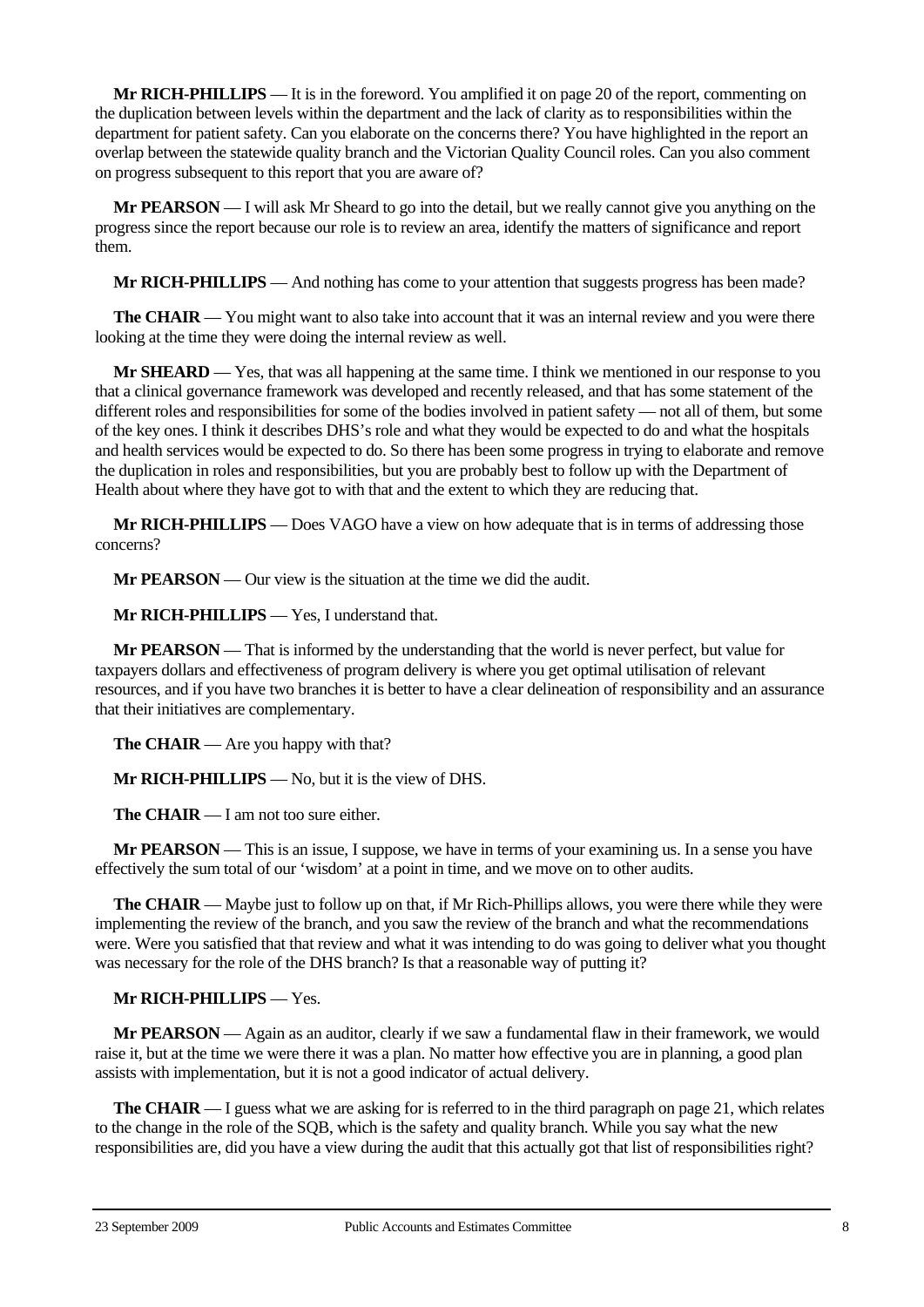**Mr RICH-PHILLIPS** — It is in the foreword. You amplified it on page 20 of the report, commenting on the duplication between levels within the department and the lack of clarity as to responsibilities within the department for patient safety. Can you elaborate on the concerns there? You have highlighted in the report an overlap between the statewide quality branch and the Victorian Quality Council roles. Can you also comment on progress subsequent to this report that you are aware of?

**Mr PEARSON** — I will ask Mr Sheard to go into the detail, but we really cannot give you anything on the progress since the report because our role is to review an area, identify the matters of significance and report them.

**Mr RICH-PHILLIPS** — And nothing has come to your attention that suggests progress has been made?

**The CHAIR** — You might want to also take into account that it was an internal review and you were there looking at the time they were doing the internal review as well.

**Mr SHEARD** — Yes, that was all happening at the same time. I think we mentioned in our response to you that a clinical governance framework was developed and recently released, and that has some statement of the different roles and responsibilities for some of the bodies involved in patient safety — not all of them, but some of the key ones. I think it describes DHS's role and what they would be expected to do and what the hospitals and health services would be expected to do. So there has been some progress in trying to elaborate and remove the duplication in roles and responsibilities, but you are probably best to follow up with the Department of Health about where they have got to with that and the extent to which they are reducing that.

**Mr RICH-PHILLIPS** — Does VAGO have a view on how adequate that is in terms of addressing those concerns?

**Mr PEARSON** — Our view is the situation at the time we did the audit.

**Mr RICH-PHILLIPS** — Yes, I understand that.

**Mr PEARSON** — That is informed by the understanding that the world is never perfect, but value for taxpayers dollars and effectiveness of program delivery is where you get optimal utilisation of relevant resources, and if you have two branches it is better to have a clear delineation of responsibility and an assurance that their initiatives are complementary.

**The CHAIR** — Are you happy with that?

**Mr RICH-PHILLIPS** — No, but it is the view of DHS.

**The CHAIR** — I am not too sure either.

**Mr PEARSON** — This is an issue, I suppose, we have in terms of your examining us. In a sense you have effectively the sum total of our 'wisdom' at a point in time, and we move on to other audits.

**The CHAIR** — Maybe just to follow up on that, if Mr Rich-Phillips allows, you were there while they were implementing the review of the branch, and you saw the review of the branch and what the recommendations were. Were you satisfied that that review and what it was intending to do was going to deliver what you thought was necessary for the role of the DHS branch? Is that a reasonable way of putting it?

# **Mr RICH-PHILLIPS** — Yes.

**Mr PEARSON** — Again as an auditor, clearly if we saw a fundamental flaw in their framework, we would raise it, but at the time we were there it was a plan. No matter how effective you are in planning, a good plan assists with implementation, but it is not a good indicator of actual delivery.

**The CHAIR** — I guess what we are asking for is referred to in the third paragraph on page 21, which relates to the change in the role of the SQB, which is the safety and quality branch. While you say what the new responsibilities are, did you have a view during the audit that this actually got that list of responsibilities right?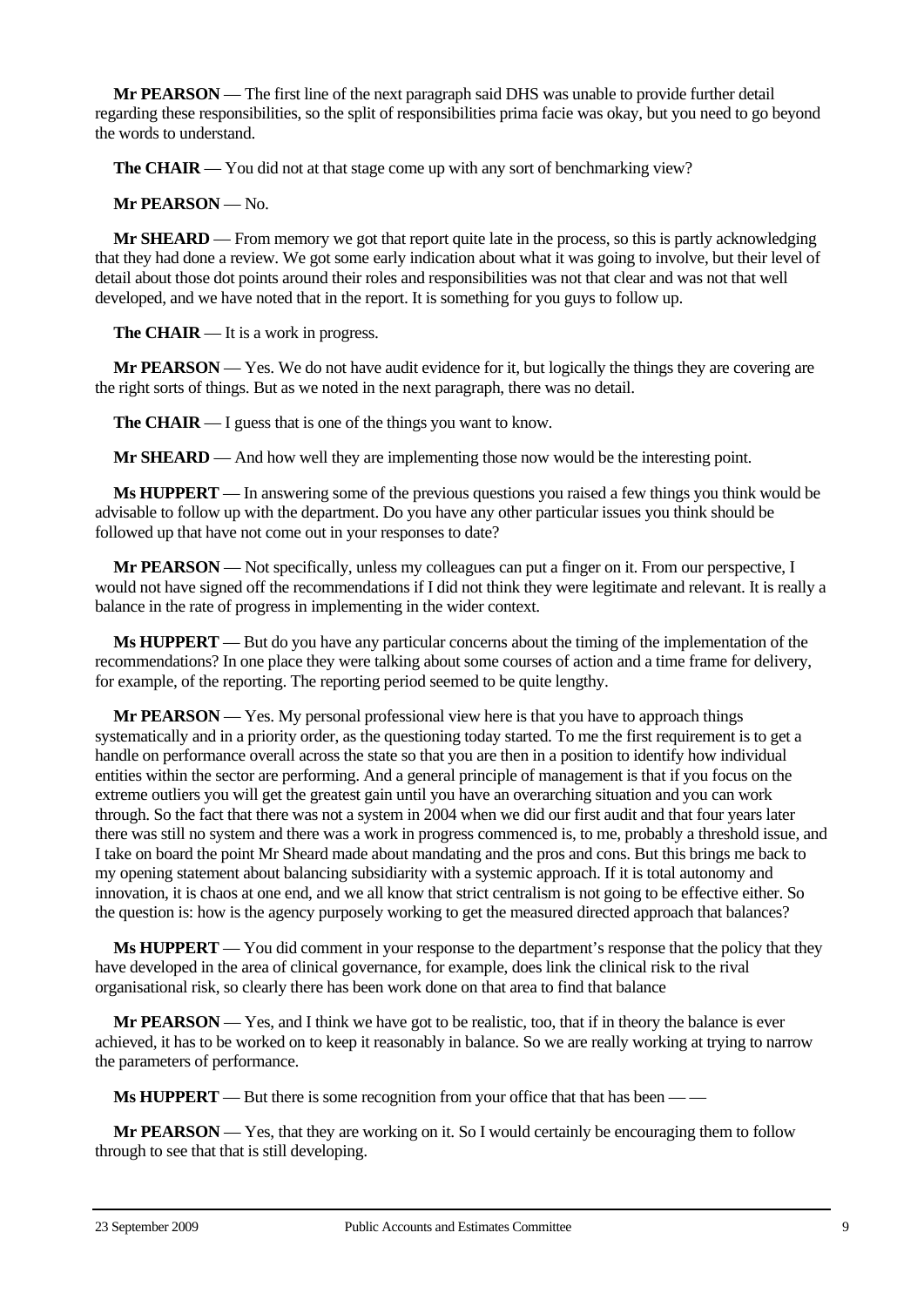**Mr PEARSON** — The first line of the next paragraph said DHS was unable to provide further detail regarding these responsibilities, so the split of responsibilities prima facie was okay, but you need to go beyond the words to understand.

**The CHAIR** — You did not at that stage come up with any sort of benchmarking view?

**Mr PEARSON** — No.

**Mr SHEARD** — From memory we got that report quite late in the process, so this is partly acknowledging that they had done a review. We got some early indication about what it was going to involve, but their level of detail about those dot points around their roles and responsibilities was not that clear and was not that well developed, and we have noted that in the report. It is something for you guys to follow up.

**The CHAIR** — It is a work in progress.

**Mr PEARSON** — Yes. We do not have audit evidence for it, but logically the things they are covering are the right sorts of things. But as we noted in the next paragraph, there was no detail.

**The CHAIR** — I guess that is one of the things you want to know.

**Mr SHEARD** — And how well they are implementing those now would be the interesting point.

**Ms HUPPERT** — In answering some of the previous questions you raised a few things you think would be advisable to follow up with the department. Do you have any other particular issues you think should be followed up that have not come out in your responses to date?

**Mr PEARSON** — Not specifically, unless my colleagues can put a finger on it. From our perspective, I would not have signed off the recommendations if I did not think they were legitimate and relevant. It is really a balance in the rate of progress in implementing in the wider context.

**Ms HUPPERT** — But do you have any particular concerns about the timing of the implementation of the recommendations? In one place they were talking about some courses of action and a time frame for delivery, for example, of the reporting. The reporting period seemed to be quite lengthy.

**Mr PEARSON** — Yes. My personal professional view here is that you have to approach things systematically and in a priority order, as the questioning today started. To me the first requirement is to get a handle on performance overall across the state so that you are then in a position to identify how individual entities within the sector are performing. And a general principle of management is that if you focus on the extreme outliers you will get the greatest gain until you have an overarching situation and you can work through. So the fact that there was not a system in 2004 when we did our first audit and that four years later there was still no system and there was a work in progress commenced is, to me, probably a threshold issue, and I take on board the point Mr Sheard made about mandating and the pros and cons. But this brings me back to my opening statement about balancing subsidiarity with a systemic approach. If it is total autonomy and innovation, it is chaos at one end, and we all know that strict centralism is not going to be effective either. So the question is: how is the agency purposely working to get the measured directed approach that balances?

**Ms HUPPERT** — You did comment in your response to the department's response that the policy that they have developed in the area of clinical governance, for example, does link the clinical risk to the rival organisational risk, so clearly there has been work done on that area to find that balance

**Mr PEARSON** — Yes, and I think we have got to be realistic, too, that if in theory the balance is ever achieved, it has to be worked on to keep it reasonably in balance. So we are really working at trying to narrow the parameters of performance.

**Ms HUPPERT** — But there is some recognition from your office that that has been — —

**Mr PEARSON** — Yes, that they are working on it. So I would certainly be encouraging them to follow through to see that that is still developing.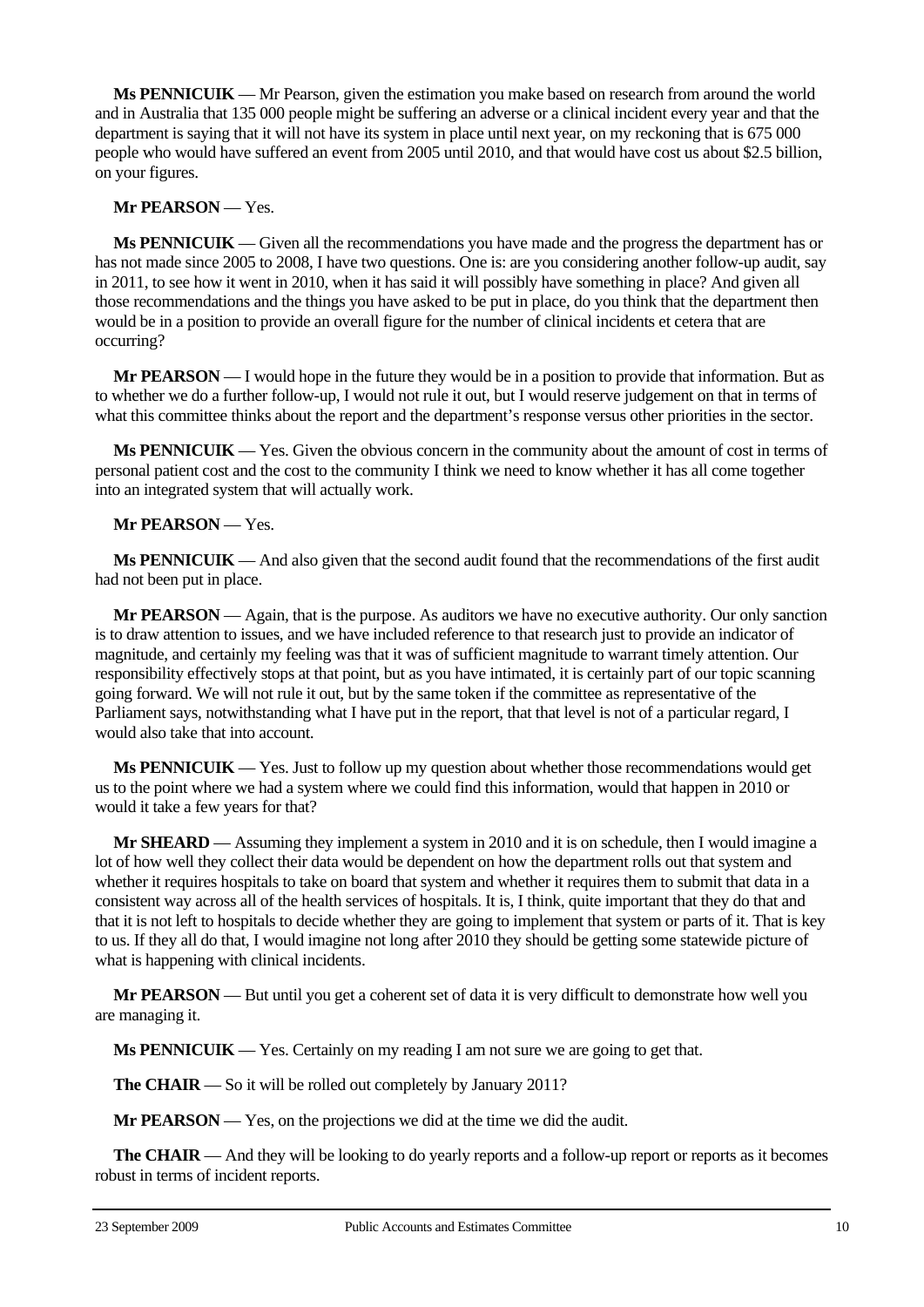**Ms PENNICUIK** — Mr Pearson, given the estimation you make based on research from around the world and in Australia that 135 000 people might be suffering an adverse or a clinical incident every year and that the department is saying that it will not have its system in place until next year, on my reckoning that is 675 000 people who would have suffered an event from 2005 until 2010, and that would have cost us about \$2.5 billion, on your figures.

### **Mr PEARSON** — Yes.

**Ms PENNICUIK** — Given all the recommendations you have made and the progress the department has or has not made since 2005 to 2008, I have two questions. One is: are you considering another follow-up audit, say in 2011, to see how it went in 2010, when it has said it will possibly have something in place? And given all those recommendations and the things you have asked to be put in place, do you think that the department then would be in a position to provide an overall figure for the number of clinical incidents et cetera that are occurring?

**Mr PEARSON** — I would hope in the future they would be in a position to provide that information. But as to whether we do a further follow-up, I would not rule it out, but I would reserve judgement on that in terms of what this committee thinks about the report and the department's response versus other priorities in the sector.

**Ms PENNICUIK** — Yes. Given the obvious concern in the community about the amount of cost in terms of personal patient cost and the cost to the community I think we need to know whether it has all come together into an integrated system that will actually work.

# **Mr PEARSON** — Yes.

**Ms PENNICUIK** — And also given that the second audit found that the recommendations of the first audit had not been put in place.

**Mr PEARSON** — Again, that is the purpose. As auditors we have no executive authority. Our only sanction is to draw attention to issues, and we have included reference to that research just to provide an indicator of magnitude, and certainly my feeling was that it was of sufficient magnitude to warrant timely attention. Our responsibility effectively stops at that point, but as you have intimated, it is certainly part of our topic scanning going forward. We will not rule it out, but by the same token if the committee as representative of the Parliament says, notwithstanding what I have put in the report, that that level is not of a particular regard, I would also take that into account.

**Ms PENNICUIK** — Yes. Just to follow up my question about whether those recommendations would get us to the point where we had a system where we could find this information, would that happen in 2010 or would it take a few years for that?

**Mr SHEARD** — Assuming they implement a system in 2010 and it is on schedule, then I would imagine a lot of how well they collect their data would be dependent on how the department rolls out that system and whether it requires hospitals to take on board that system and whether it requires them to submit that data in a consistent way across all of the health services of hospitals. It is, I think, quite important that they do that and that it is not left to hospitals to decide whether they are going to implement that system or parts of it. That is key to us. If they all do that, I would imagine not long after 2010 they should be getting some statewide picture of what is happening with clinical incidents.

**Mr PEARSON** — But until you get a coherent set of data it is very difficult to demonstrate how well you are managing it.

**Ms PENNICUIK** — Yes. Certainly on my reading I am not sure we are going to get that.

**The CHAIR** — So it will be rolled out completely by January 2011?

**Mr PEARSON** — Yes, on the projections we did at the time we did the audit.

**The CHAIR** — And they will be looking to do yearly reports and a follow-up report or reports as it becomes robust in terms of incident reports.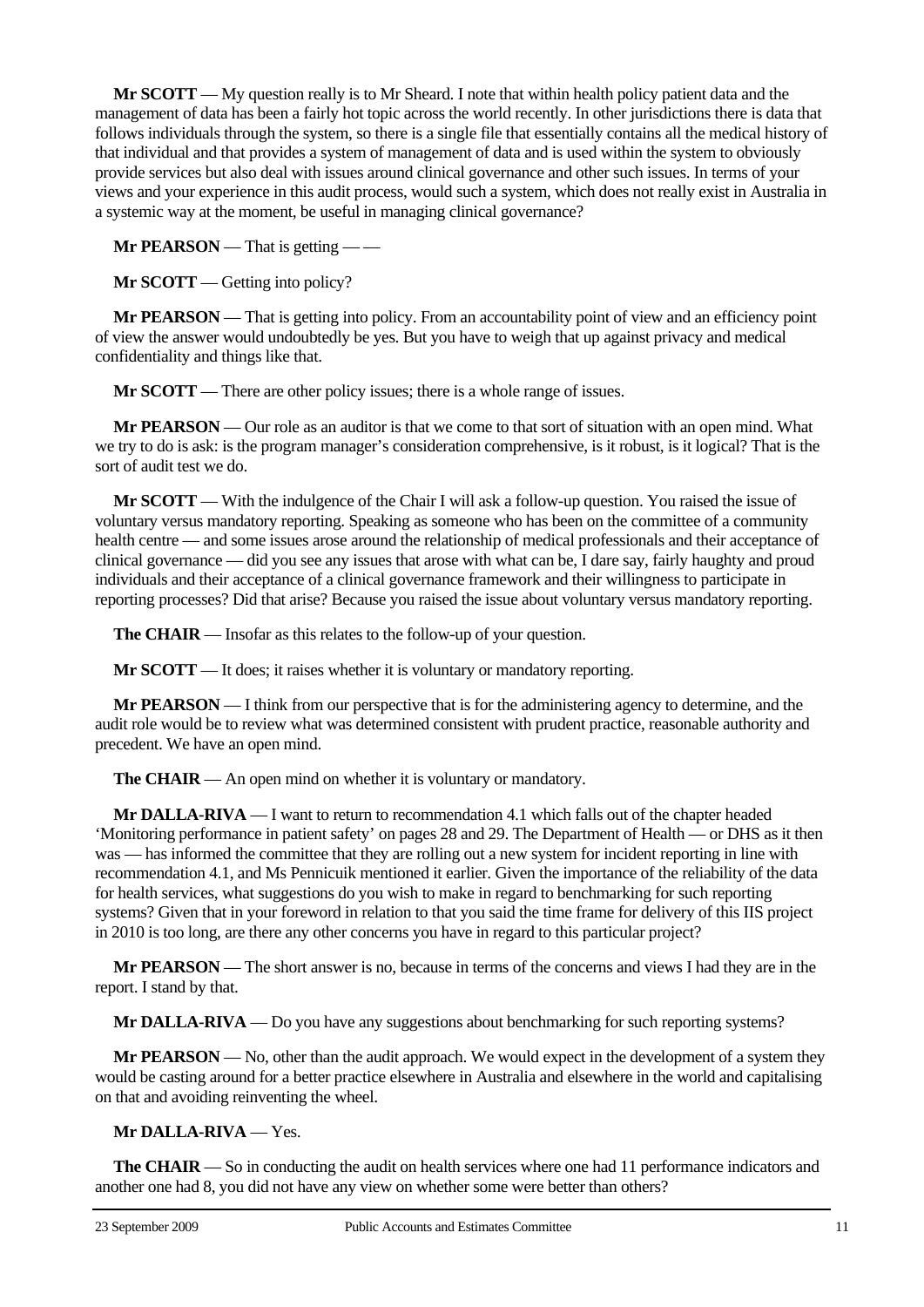**Mr SCOTT** — My question really is to Mr Sheard. I note that within health policy patient data and the management of data has been a fairly hot topic across the world recently. In other jurisdictions there is data that follows individuals through the system, so there is a single file that essentially contains all the medical history of that individual and that provides a system of management of data and is used within the system to obviously provide services but also deal with issues around clinical governance and other such issues. In terms of your views and your experience in this audit process, would such a system, which does not really exist in Australia in a systemic way at the moment, be useful in managing clinical governance?

**Mr PEARSON** — That is getting — —

**Mr SCOTT** — Getting into policy?

**Mr PEARSON** — That is getting into policy. From an accountability point of view and an efficiency point of view the answer would undoubtedly be yes. But you have to weigh that up against privacy and medical confidentiality and things like that.

**Mr SCOTT** — There are other policy issues; there is a whole range of issues.

**Mr PEARSON** — Our role as an auditor is that we come to that sort of situation with an open mind. What we try to do is ask: is the program manager's consideration comprehensive, is it robust, is it logical? That is the sort of audit test we do.

**Mr SCOTT** — With the indulgence of the Chair I will ask a follow-up question. You raised the issue of voluntary versus mandatory reporting. Speaking as someone who has been on the committee of a community health centre — and some issues arose around the relationship of medical professionals and their acceptance of clinical governance — did you see any issues that arose with what can be, I dare say, fairly haughty and proud individuals and their acceptance of a clinical governance framework and their willingness to participate in reporting processes? Did that arise? Because you raised the issue about voluntary versus mandatory reporting.

**The CHAIR** — Insofar as this relates to the follow-up of your question.

**Mr SCOTT** — It does; it raises whether it is voluntary or mandatory reporting.

**Mr PEARSON** — I think from our perspective that is for the administering agency to determine, and the audit role would be to review what was determined consistent with prudent practice, reasonable authority and precedent. We have an open mind.

**The CHAIR** — An open mind on whether it is voluntary or mandatory.

**Mr DALLA-RIVA** — I want to return to recommendation 4.1 which falls out of the chapter headed 'Monitoring performance in patient safety' on pages 28 and 29. The Department of Health — or DHS as it then was — has informed the committee that they are rolling out a new system for incident reporting in line with recommendation 4.1, and Ms Pennicuik mentioned it earlier. Given the importance of the reliability of the data for health services, what suggestions do you wish to make in regard to benchmarking for such reporting systems? Given that in your foreword in relation to that you said the time frame for delivery of this IIS project in 2010 is too long, are there any other concerns you have in regard to this particular project?

**Mr PEARSON** — The short answer is no, because in terms of the concerns and views I had they are in the report. I stand by that.

**Mr DALLA-RIVA** — Do you have any suggestions about benchmarking for such reporting systems?

**Mr PEARSON** — No, other than the audit approach. We would expect in the development of a system they would be casting around for a better practice elsewhere in Australia and elsewhere in the world and capitalising on that and avoiding reinventing the wheel.

# **Mr DALLA-RIVA** — Yes.

**The CHAIR** — So in conducting the audit on health services where one had 11 performance indicators and another one had 8, you did not have any view on whether some were better than others?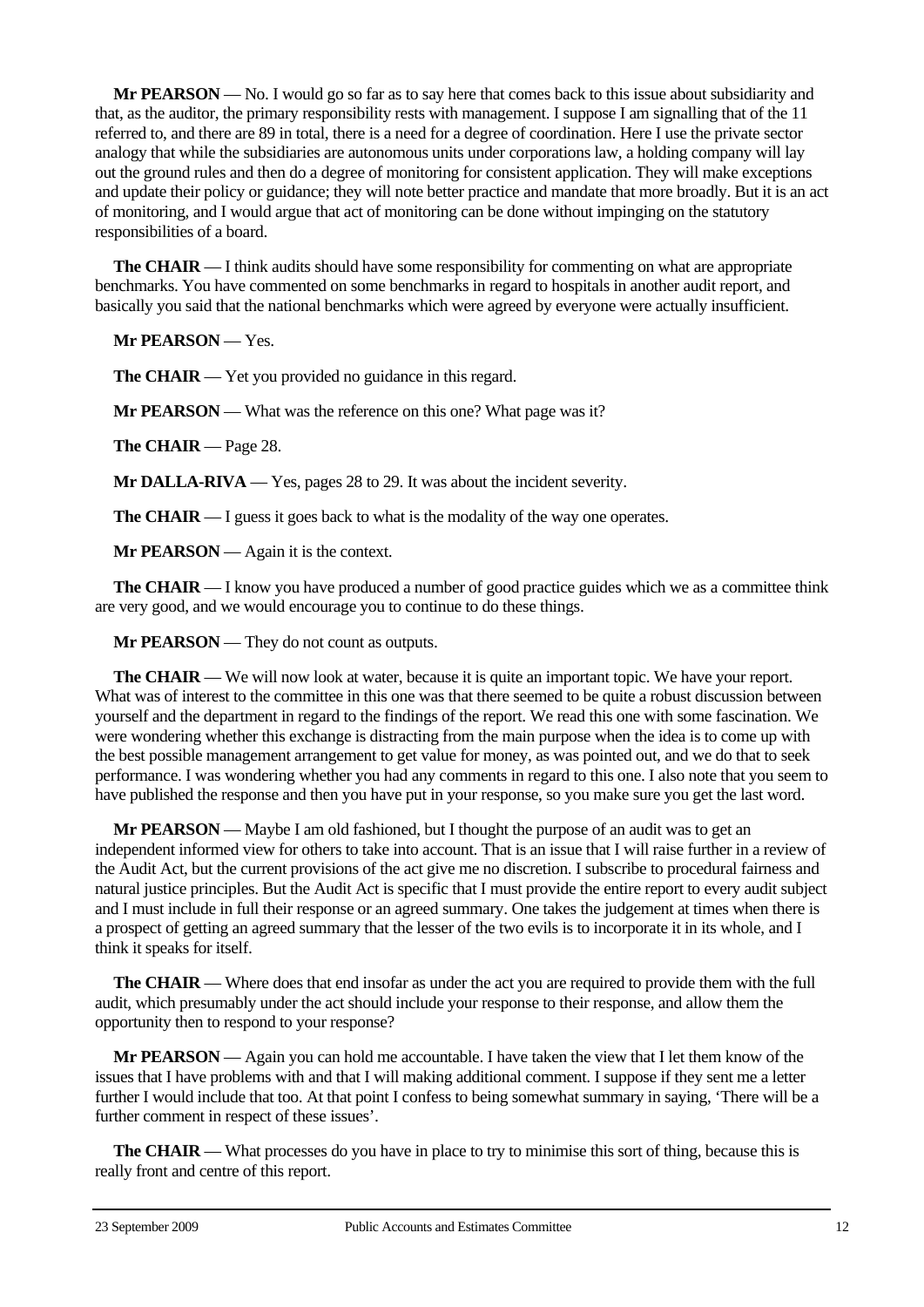**Mr PEARSON** — No. I would go so far as to say here that comes back to this issue about subsidiarity and that, as the auditor, the primary responsibility rests with management. I suppose I am signalling that of the 11 referred to, and there are 89 in total, there is a need for a degree of coordination. Here I use the private sector analogy that while the subsidiaries are autonomous units under corporations law, a holding company will lay out the ground rules and then do a degree of monitoring for consistent application. They will make exceptions and update their policy or guidance; they will note better practice and mandate that more broadly. But it is an act of monitoring, and I would argue that act of monitoring can be done without impinging on the statutory responsibilities of a board.

**The CHAIR** — I think audits should have some responsibility for commenting on what are appropriate benchmarks. You have commented on some benchmarks in regard to hospitals in another audit report, and basically you said that the national benchmarks which were agreed by everyone were actually insufficient.

**Mr PEARSON** — Yes.

**The CHAIR** — Yet you provided no guidance in this regard.

**Mr PEARSON** — What was the reference on this one? What page was it?

**The CHAIR** — Page 28.

**Mr DALLA-RIVA** — Yes, pages 28 to 29. It was about the incident severity.

**The CHAIR** — I guess it goes back to what is the modality of the way one operates.

**Mr PEARSON** — Again it is the context.

**The CHAIR** — I know you have produced a number of good practice guides which we as a committee think are very good, and we would encourage you to continue to do these things.

**Mr PEARSON** — They do not count as outputs.

**The CHAIR** — We will now look at water, because it is quite an important topic. We have your report. What was of interest to the committee in this one was that there seemed to be quite a robust discussion between yourself and the department in regard to the findings of the report. We read this one with some fascination. We were wondering whether this exchange is distracting from the main purpose when the idea is to come up with the best possible management arrangement to get value for money, as was pointed out, and we do that to seek performance. I was wondering whether you had any comments in regard to this one. I also note that you seem to have published the response and then you have put in your response, so you make sure you get the last word.

**Mr PEARSON** — Maybe I am old fashioned, but I thought the purpose of an audit was to get an independent informed view for others to take into account. That is an issue that I will raise further in a review of the Audit Act, but the current provisions of the act give me no discretion. I subscribe to procedural fairness and natural justice principles. But the Audit Act is specific that I must provide the entire report to every audit subject and I must include in full their response or an agreed summary. One takes the judgement at times when there is a prospect of getting an agreed summary that the lesser of the two evils is to incorporate it in its whole, and I think it speaks for itself.

**The CHAIR** — Where does that end insofar as under the act you are required to provide them with the full audit, which presumably under the act should include your response to their response, and allow them the opportunity then to respond to your response?

**Mr PEARSON** — Again you can hold me accountable. I have taken the view that I let them know of the issues that I have problems with and that I will making additional comment. I suppose if they sent me a letter further I would include that too. At that point I confess to being somewhat summary in saying, 'There will be a further comment in respect of these issues'.

**The CHAIR** — What processes do you have in place to try to minimise this sort of thing, because this is really front and centre of this report.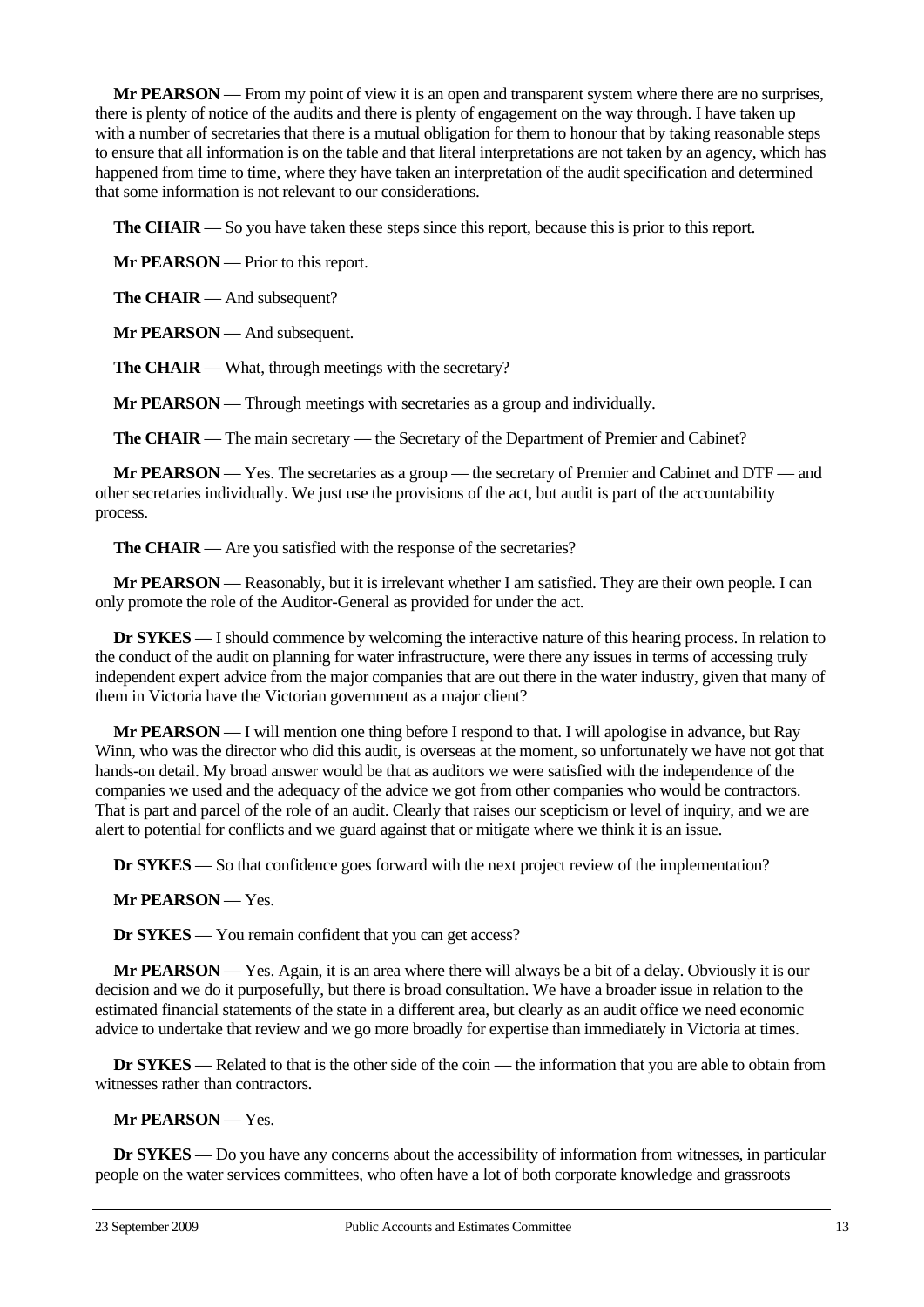**Mr PEARSON** — From my point of view it is an open and transparent system where there are no surprises, there is plenty of notice of the audits and there is plenty of engagement on the way through. I have taken up with a number of secretaries that there is a mutual obligation for them to honour that by taking reasonable steps to ensure that all information is on the table and that literal interpretations are not taken by an agency, which has happened from time to time, where they have taken an interpretation of the audit specification and determined that some information is not relevant to our considerations.

**The CHAIR** — So you have taken these steps since this report, because this is prior to this report.

**Mr PEARSON** — Prior to this report.

**The CHAIR** — And subsequent?

**Mr PEARSON** — And subsequent.

**The CHAIR** — What, through meetings with the secretary?

**Mr PEARSON** — Through meetings with secretaries as a group and individually.

**The CHAIR** — The main secretary — the Secretary of the Department of Premier and Cabinet?

**Mr PEARSON** — Yes. The secretaries as a group — the secretary of Premier and Cabinet and DTF — and other secretaries individually. We just use the provisions of the act, but audit is part of the accountability process.

**The CHAIR** — Are you satisfied with the response of the secretaries?

**Mr PEARSON** — Reasonably, but it is irrelevant whether I am satisfied. They are their own people. I can only promote the role of the Auditor-General as provided for under the act.

**Dr SYKES** — I should commence by welcoming the interactive nature of this hearing process. In relation to the conduct of the audit on planning for water infrastructure, were there any issues in terms of accessing truly independent expert advice from the major companies that are out there in the water industry, given that many of them in Victoria have the Victorian government as a major client?

**Mr PEARSON** — I will mention one thing before I respond to that. I will apologise in advance, but Ray Winn, who was the director who did this audit, is overseas at the moment, so unfortunately we have not got that hands-on detail. My broad answer would be that as auditors we were satisfied with the independence of the companies we used and the adequacy of the advice we got from other companies who would be contractors. That is part and parcel of the role of an audit. Clearly that raises our scepticism or level of inquiry, and we are alert to potential for conflicts and we guard against that or mitigate where we think it is an issue.

**Dr SYKES** — So that confidence goes forward with the next project review of the implementation?

**Mr PEARSON** — Yes.

**Dr SYKES** — You remain confident that you can get access?

**Mr PEARSON** — Yes. Again, it is an area where there will always be a bit of a delay. Obviously it is our decision and we do it purposefully, but there is broad consultation. We have a broader issue in relation to the estimated financial statements of the state in a different area, but clearly as an audit office we need economic advice to undertake that review and we go more broadly for expertise than immediately in Victoria at times.

**Dr SYKES** — Related to that is the other side of the coin — the information that you are able to obtain from witnesses rather than contractors.

**Mr PEARSON** — Yes.

**Dr SYKES** — Do you have any concerns about the accessibility of information from witnesses, in particular people on the water services committees, who often have a lot of both corporate knowledge and grassroots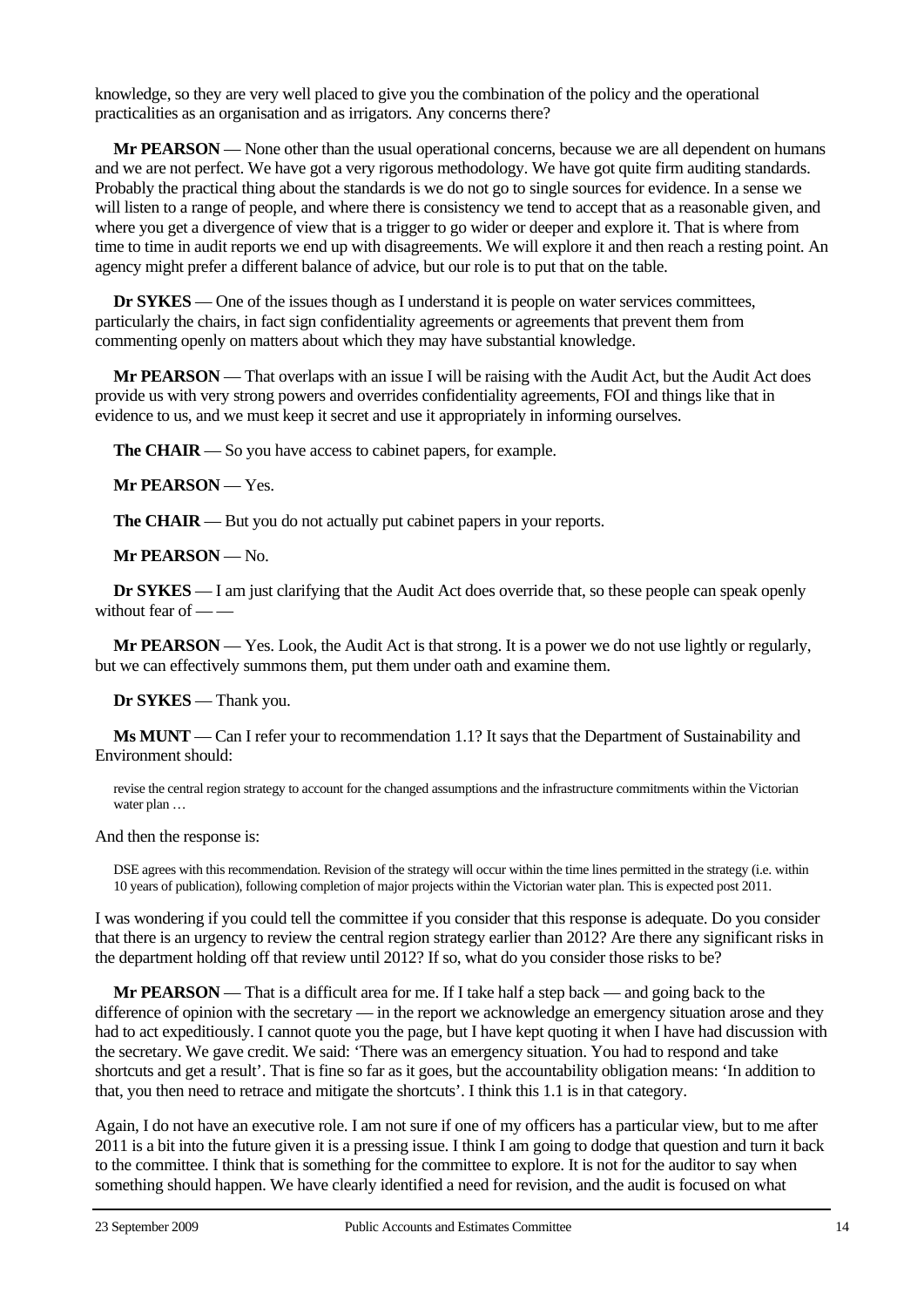knowledge, so they are very well placed to give you the combination of the policy and the operational practicalities as an organisation and as irrigators. Any concerns there?

**Mr PEARSON** — None other than the usual operational concerns, because we are all dependent on humans and we are not perfect. We have got a very rigorous methodology. We have got quite firm auditing standards. Probably the practical thing about the standards is we do not go to single sources for evidence. In a sense we will listen to a range of people, and where there is consistency we tend to accept that as a reasonable given, and where you get a divergence of view that is a trigger to go wider or deeper and explore it. That is where from time to time in audit reports we end up with disagreements. We will explore it and then reach a resting point. An agency might prefer a different balance of advice, but our role is to put that on the table.

**Dr SYKES** — One of the issues though as I understand it is people on water services committees, particularly the chairs, in fact sign confidentiality agreements or agreements that prevent them from commenting openly on matters about which they may have substantial knowledge.

**Mr PEARSON** — That overlaps with an issue I will be raising with the Audit Act, but the Audit Act does provide us with very strong powers and overrides confidentiality agreements, FOI and things like that in evidence to us, and we must keep it secret and use it appropriately in informing ourselves.

**The CHAIR** — So you have access to cabinet papers, for example.

**Mr PEARSON** — Yes.

**The CHAIR** — But you do not actually put cabinet papers in your reports.

**Mr PEARSON** — No.

**Dr SYKES** — I am just clarifying that the Audit Act does override that, so these people can speak openly without fear of — -

**Mr PEARSON** — Yes. Look, the Audit Act is that strong. It is a power we do not use lightly or regularly, but we can effectively summons them, put them under oath and examine them.

**Dr SYKES** — Thank you.

**Ms MUNT** — Can I refer your to recommendation 1.1? It says that the Department of Sustainability and Environment should:

revise the central region strategy to account for the changed assumptions and the infrastructure commitments within the Victorian water plan …

And then the response is:

DSE agrees with this recommendation. Revision of the strategy will occur within the time lines permitted in the strategy (i.e. within 10 years of publication), following completion of major projects within the Victorian water plan. This is expected post 2011.

I was wondering if you could tell the committee if you consider that this response is adequate. Do you consider that there is an urgency to review the central region strategy earlier than 2012? Are there any significant risks in the department holding off that review until 2012? If so, what do you consider those risks to be?

**Mr PEARSON** — That is a difficult area for me. If I take half a step back — and going back to the difference of opinion with the secretary — in the report we acknowledge an emergency situation arose and they had to act expeditiously. I cannot quote you the page, but I have kept quoting it when I have had discussion with the secretary. We gave credit. We said: 'There was an emergency situation. You had to respond and take shortcuts and get a result'. That is fine so far as it goes, but the accountability obligation means: 'In addition to that, you then need to retrace and mitigate the shortcuts'. I think this 1.1 is in that category.

Again, I do not have an executive role. I am not sure if one of my officers has a particular view, but to me after 2011 is a bit into the future given it is a pressing issue. I think I am going to dodge that question and turn it back to the committee. I think that is something for the committee to explore. It is not for the auditor to say when something should happen. We have clearly identified a need for revision, and the audit is focused on what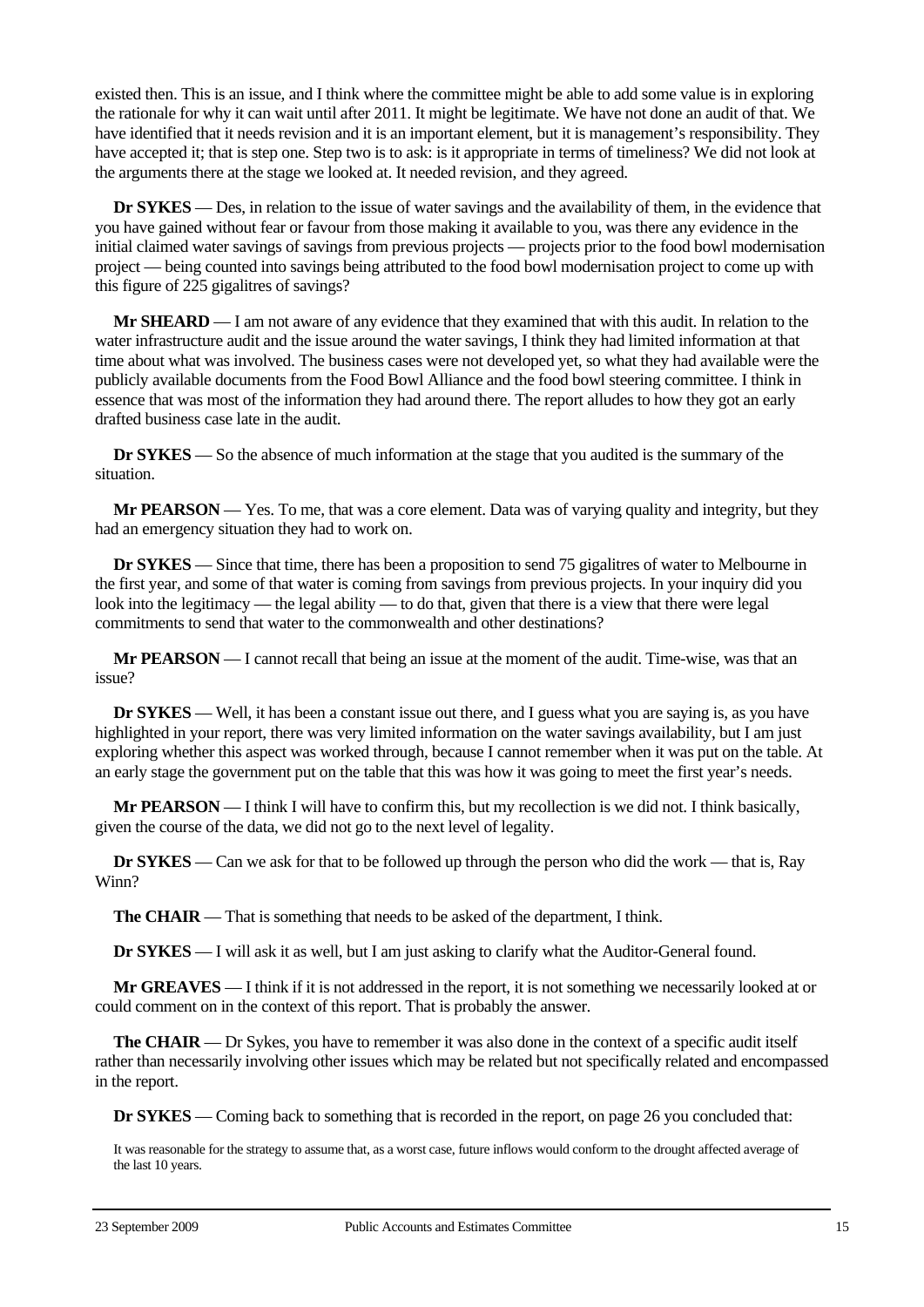existed then. This is an issue, and I think where the committee might be able to add some value is in exploring the rationale for why it can wait until after 2011. It might be legitimate. We have not done an audit of that. We have identified that it needs revision and it is an important element, but it is management's responsibility. They have accepted it; that is step one. Step two is to ask: is it appropriate in terms of timeliness? We did not look at the arguments there at the stage we looked at. It needed revision, and they agreed.

**Dr SYKES** — Des, in relation to the issue of water savings and the availability of them, in the evidence that you have gained without fear or favour from those making it available to you, was there any evidence in the initial claimed water savings of savings from previous projects — projects prior to the food bowl modernisation project — being counted into savings being attributed to the food bowl modernisation project to come up with this figure of 225 gigalitres of savings?

**Mr SHEARD** — I am not aware of any evidence that they examined that with this audit. In relation to the water infrastructure audit and the issue around the water savings, I think they had limited information at that time about what was involved. The business cases were not developed yet, so what they had available were the publicly available documents from the Food Bowl Alliance and the food bowl steering committee. I think in essence that was most of the information they had around there. The report alludes to how they got an early drafted business case late in the audit.

**Dr SYKES** — So the absence of much information at the stage that you audited is the summary of the situation.

**Mr PEARSON** — Yes. To me, that was a core element. Data was of varying quality and integrity, but they had an emergency situation they had to work on.

**Dr SYKES** — Since that time, there has been a proposition to send 75 gigalitres of water to Melbourne in the first year, and some of that water is coming from savings from previous projects. In your inquiry did you look into the legitimacy — the legal ability — to do that, given that there is a view that there were legal commitments to send that water to the commonwealth and other destinations?

**Mr PEARSON** — I cannot recall that being an issue at the moment of the audit. Time-wise, was that an issue?

**Dr <b>SYKES** — Well, it has been a constant issue out there, and I guess what you are saying is, as you have highlighted in your report, there was very limited information on the water savings availability, but I am just exploring whether this aspect was worked through, because I cannot remember when it was put on the table. At an early stage the government put on the table that this was how it was going to meet the first year's needs.

**Mr PEARSON** — I think I will have to confirm this, but my recollection is we did not. I think basically, given the course of the data, we did not go to the next level of legality.

**Dr SYKES** — Can we ask for that to be followed up through the person who did the work — that is, Ray Winn?

**The CHAIR** — That is something that needs to be asked of the department, I think.

**Dr SYKES** — I will ask it as well, but I am just asking to clarify what the Auditor-General found.

**Mr GREAVES** — I think if it is not addressed in the report, it is not something we necessarily looked at or could comment on in the context of this report. That is probably the answer.

**The CHAIR** — Dr Sykes, you have to remember it was also done in the context of a specific audit itself rather than necessarily involving other issues which may be related but not specifically related and encompassed in the report.

**Dr SYKES** — Coming back to something that is recorded in the report, on page 26 you concluded that:

It was reasonable for the strategy to assume that, as a worst case, future inflows would conform to the drought affected average of the last 10 years.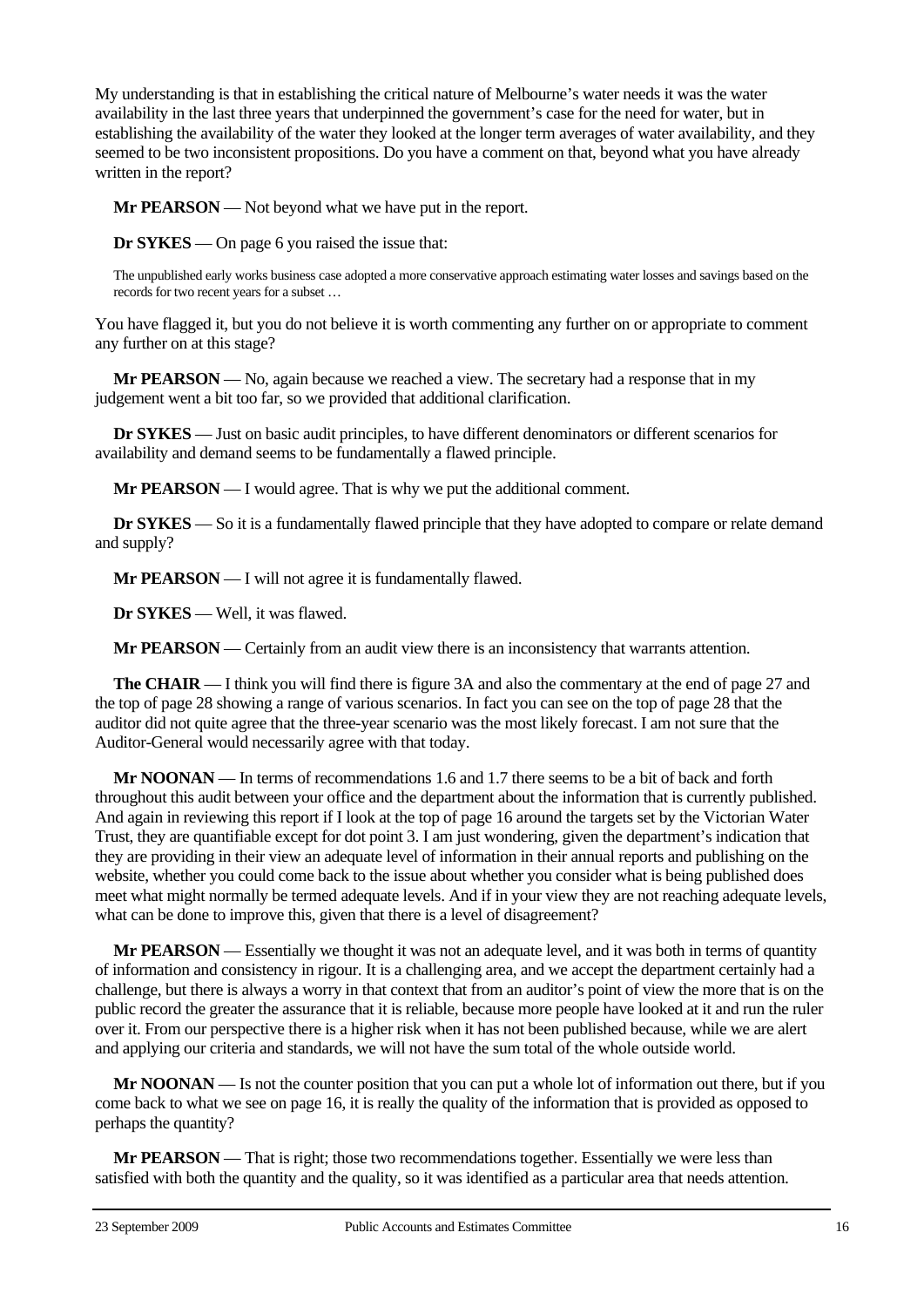My understanding is that in establishing the critical nature of Melbourne's water needs it was the water availability in the last three years that underpinned the government's case for the need for water, but in establishing the availability of the water they looked at the longer term averages of water availability, and they seemed to be two inconsistent propositions. Do you have a comment on that, beyond what you have already written in the report?

**Mr PEARSON** — Not beyond what we have put in the report.

**Dr SYKES** — On page 6 you raised the issue that:

The unpublished early works business case adopted a more conservative approach estimating water losses and savings based on the records for two recent years for a subset …

You have flagged it, but you do not believe it is worth commenting any further on or appropriate to comment any further on at this stage?

**Mr PEARSON** — No, again because we reached a view. The secretary had a response that in my judgement went a bit too far, so we provided that additional clarification.

**Dr SYKES** — Just on basic audit principles, to have different denominators or different scenarios for availability and demand seems to be fundamentally a flawed principle.

**Mr PEARSON** — I would agree. That is why we put the additional comment.

**Dr SYKES** — So it is a fundamentally flawed principle that they have adopted to compare or relate demand and supply?

**Mr PEARSON** — I will not agree it is fundamentally flawed.

**Dr SYKES** — Well, it was flawed.

**Mr PEARSON** — Certainly from an audit view there is an inconsistency that warrants attention.

**The CHAIR** — I think you will find there is figure 3A and also the commentary at the end of page 27 and the top of page 28 showing a range of various scenarios. In fact you can see on the top of page 28 that the auditor did not quite agree that the three-year scenario was the most likely forecast. I am not sure that the Auditor-General would necessarily agree with that today.

**Mr NOONAN** — In terms of recommendations 1.6 and 1.7 there seems to be a bit of back and forth throughout this audit between your office and the department about the information that is currently published. And again in reviewing this report if I look at the top of page 16 around the targets set by the Victorian Water Trust, they are quantifiable except for dot point 3. I am just wondering, given the department's indication that they are providing in their view an adequate level of information in their annual reports and publishing on the website, whether you could come back to the issue about whether you consider what is being published does meet what might normally be termed adequate levels. And if in your view they are not reaching adequate levels, what can be done to improve this, given that there is a level of disagreement?

**Mr PEARSON** — Essentially we thought it was not an adequate level, and it was both in terms of quantity of information and consistency in rigour. It is a challenging area, and we accept the department certainly had a challenge, but there is always a worry in that context that from an auditor's point of view the more that is on the public record the greater the assurance that it is reliable, because more people have looked at it and run the ruler over it. From our perspective there is a higher risk when it has not been published because, while we are alert and applying our criteria and standards, we will not have the sum total of the whole outside world.

**Mr NOONAN** — Is not the counter position that you can put a whole lot of information out there, but if you come back to what we see on page 16, it is really the quality of the information that is provided as opposed to perhaps the quantity?

**Mr PEARSON** — That is right; those two recommendations together. Essentially we were less than satisfied with both the quantity and the quality, so it was identified as a particular area that needs attention.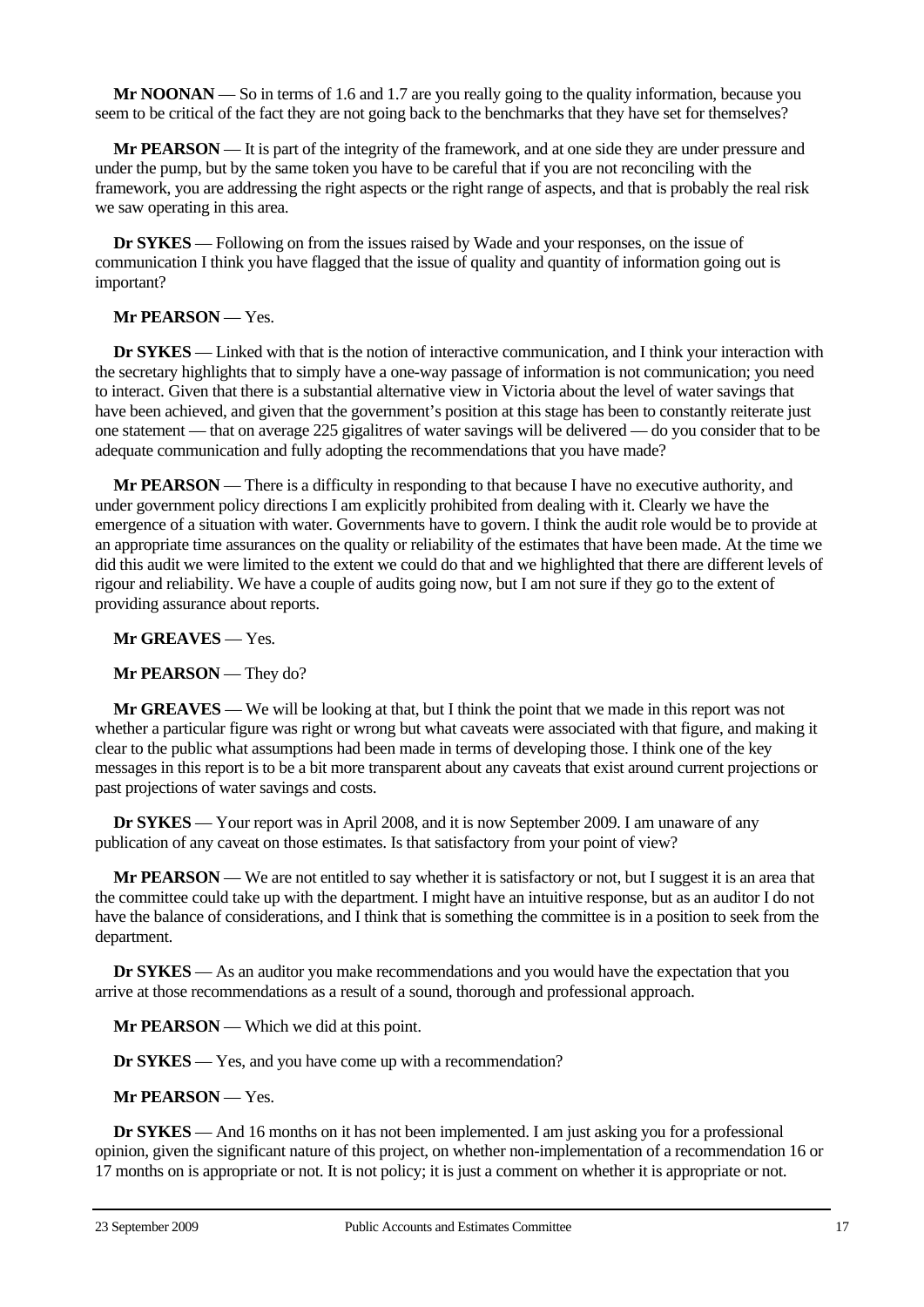**Mr NOONAN** — So in terms of 1.6 and 1.7 are you really going to the quality information, because you seem to be critical of the fact they are not going back to the benchmarks that they have set for themselves?

**Mr PEARSON** — It is part of the integrity of the framework, and at one side they are under pressure and under the pump, but by the same token you have to be careful that if you are not reconciling with the framework, you are addressing the right aspects or the right range of aspects, and that is probably the real risk we saw operating in this area.

**Dr SYKES** — Following on from the issues raised by Wade and your responses, on the issue of communication I think you have flagged that the issue of quality and quantity of information going out is important?

# **Mr PEARSON** — Yes.

**Dr SYKES** — Linked with that is the notion of interactive communication, and I think your interaction with the secretary highlights that to simply have a one-way passage of information is not communication; you need to interact. Given that there is a substantial alternative view in Victoria about the level of water savings that have been achieved, and given that the government's position at this stage has been to constantly reiterate just one statement — that on average 225 gigalitres of water savings will be delivered — do you consider that to be adequate communication and fully adopting the recommendations that you have made?

**Mr PEARSON** — There is a difficulty in responding to that because I have no executive authority, and under government policy directions I am explicitly prohibited from dealing with it. Clearly we have the emergence of a situation with water. Governments have to govern. I think the audit role would be to provide at an appropriate time assurances on the quality or reliability of the estimates that have been made. At the time we did this audit we were limited to the extent we could do that and we highlighted that there are different levels of rigour and reliability. We have a couple of audits going now, but I am not sure if they go to the extent of providing assurance about reports.

**Mr GREAVES** — Yes.

**Mr PEARSON** — They do?

**Mr GREAVES** — We will be looking at that, but I think the point that we made in this report was not whether a particular figure was right or wrong but what caveats were associated with that figure, and making it clear to the public what assumptions had been made in terms of developing those. I think one of the key messages in this report is to be a bit more transparent about any caveats that exist around current projections or past projections of water savings and costs.

**Dr SYKES** — Your report was in April 2008, and it is now September 2009. I am unaware of any publication of any caveat on those estimates. Is that satisfactory from your point of view?

**Mr PEARSON** — We are not entitled to say whether it is satisfactory or not, but I suggest it is an area that the committee could take up with the department. I might have an intuitive response, but as an auditor I do not have the balance of considerations, and I think that is something the committee is in a position to seek from the department.

**Dr SYKES** — As an auditor you make recommendations and you would have the expectation that you arrive at those recommendations as a result of a sound, thorough and professional approach.

**Mr PEARSON** — Which we did at this point.

**Dr SYKES** — Yes, and you have come up with a recommendation?

**Mr PEARSON** — Yes.

**Dr SYKES** — And 16 months on it has not been implemented. I am just asking you for a professional opinion, given the significant nature of this project, on whether non-implementation of a recommendation 16 or 17 months on is appropriate or not. It is not policy; it is just a comment on whether it is appropriate or not.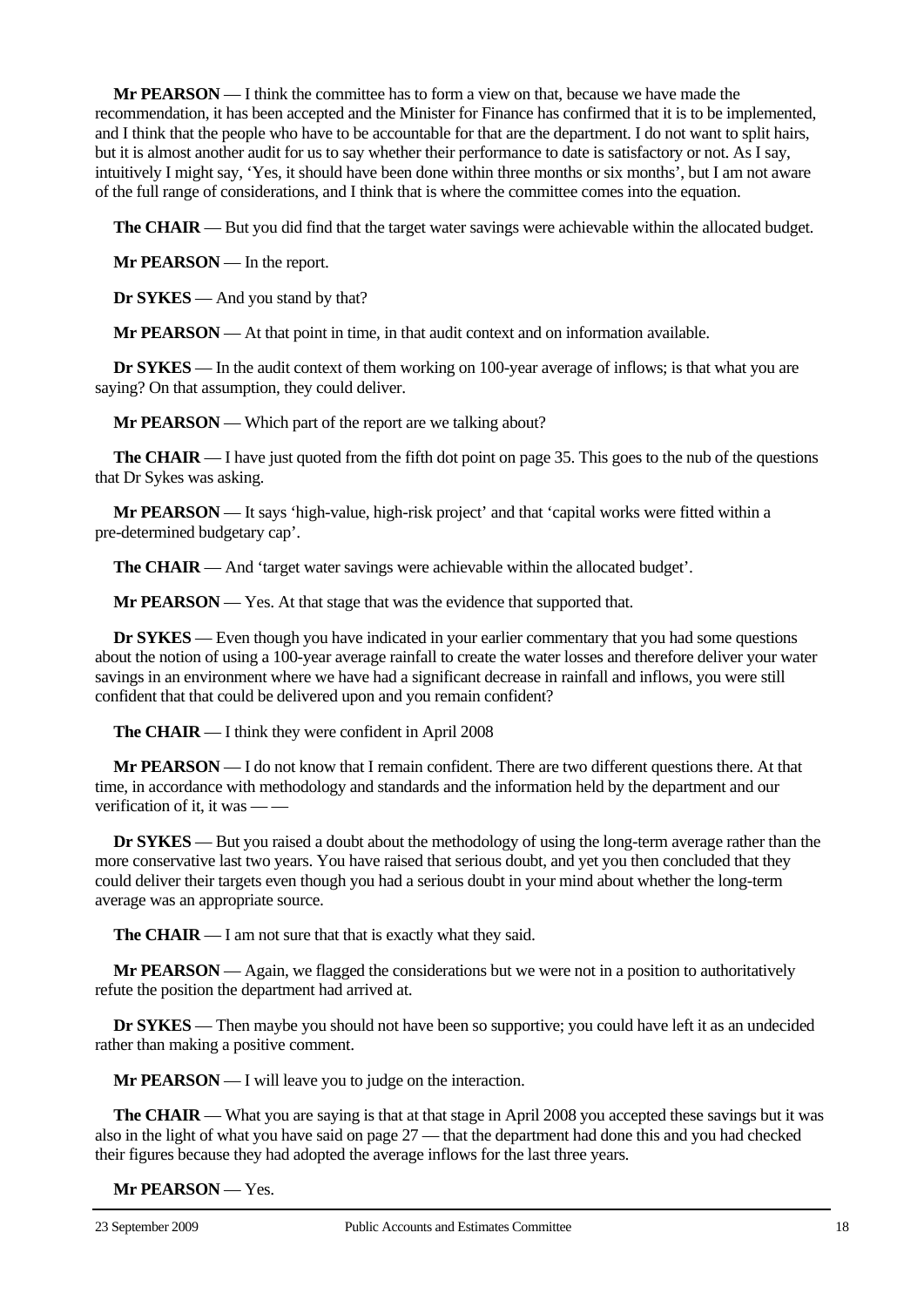**Mr PEARSON** — I think the committee has to form a view on that, because we have made the recommendation, it has been accepted and the Minister for Finance has confirmed that it is to be implemented, and I think that the people who have to be accountable for that are the department. I do not want to split hairs, but it is almost another audit for us to say whether their performance to date is satisfactory or not. As I say, intuitively I might say, 'Yes, it should have been done within three months or six months', but I am not aware of the full range of considerations, and I think that is where the committee comes into the equation.

**The CHAIR** — But you did find that the target water savings were achievable within the allocated budget.

**Mr PEARSON** — In the report.

**Dr SYKES** — And you stand by that?

**Mr PEARSON** — At that point in time, in that audit context and on information available.

**Dr SYKES** — In the audit context of them working on 100-year average of inflows; is that what you are saying? On that assumption, they could deliver.

**Mr PEARSON** — Which part of the report are we talking about?

**The CHAIR** — I have just quoted from the fifth dot point on page 35. This goes to the nub of the questions that Dr Sykes was asking.

**Mr PEARSON** — It says 'high-value, high-risk project' and that 'capital works were fitted within a pre-determined budgetary cap'.

**The CHAIR** — And 'target water savings were achievable within the allocated budget'.

**Mr PEARSON** — Yes. At that stage that was the evidence that supported that.

**Dr SYKES** — Even though you have indicated in your earlier commentary that you had some questions about the notion of using a 100-year average rainfall to create the water losses and therefore deliver your water savings in an environment where we have had a significant decrease in rainfall and inflows, you were still confident that that could be delivered upon and you remain confident?

**The CHAIR** — I think they were confident in April 2008

**Mr PEARSON** — I do not know that I remain confident. There are two different questions there. At that time, in accordance with methodology and standards and the information held by the department and our verification of it, it was — —

**Dr SYKES** — But you raised a doubt about the methodology of using the long-term average rather than the more conservative last two years. You have raised that serious doubt, and yet you then concluded that they could deliver their targets even though you had a serious doubt in your mind about whether the long-term average was an appropriate source.

**The CHAIR** — I am not sure that that is exactly what they said.

**Mr PEARSON** — Again, we flagged the considerations but we were not in a position to authoritatively refute the position the department had arrived at.

**Dr SYKES** — Then maybe you should not have been so supportive; you could have left it as an undecided rather than making a positive comment.

**Mr PEARSON** — I will leave you to judge on the interaction.

**The CHAIR** — What you are saying is that at that stage in April 2008 you accepted these sayings but it was also in the light of what you have said on page 27 — that the department had done this and you had checked their figures because they had adopted the average inflows for the last three years.

**Mr PEARSON** — Yes.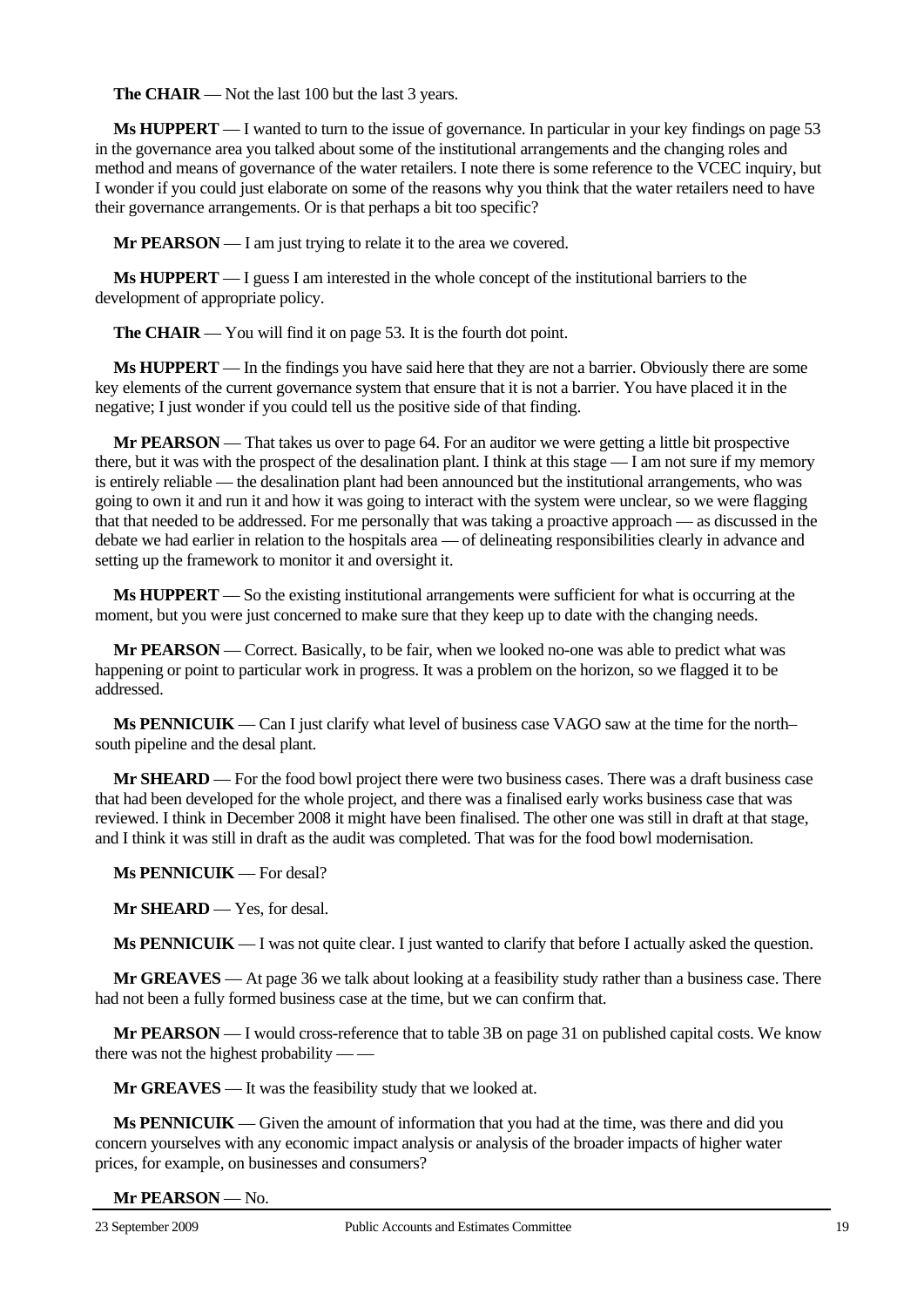**The CHAIR** — Not the last 100 but the last 3 years.

**Ms HUPPERT** — I wanted to turn to the issue of governance. In particular in your key findings on page 53 in the governance area you talked about some of the institutional arrangements and the changing roles and method and means of governance of the water retailers. I note there is some reference to the VCEC inquiry, but I wonder if you could just elaborate on some of the reasons why you think that the water retailers need to have their governance arrangements. Or is that perhaps a bit too specific?

**Mr PEARSON** — I am just trying to relate it to the area we covered.

**Ms HUPPERT** — I guess I am interested in the whole concept of the institutional barriers to the development of appropriate policy.

**The CHAIR** — You will find it on page 53. It is the fourth dot point.

**Ms HUPPERT** — In the findings you have said here that they are not a barrier. Obviously there are some key elements of the current governance system that ensure that it is not a barrier. You have placed it in the negative; I just wonder if you could tell us the positive side of that finding.

**Mr PEARSON** — That takes us over to page 64. For an auditor we were getting a little bit prospective there, but it was with the prospect of the desalination plant. I think at this stage — I am not sure if my memory is entirely reliable — the desalination plant had been announced but the institutional arrangements, who was going to own it and run it and how it was going to interact with the system were unclear, so we were flagging that that needed to be addressed. For me personally that was taking a proactive approach — as discussed in the debate we had earlier in relation to the hospitals area — of delineating responsibilities clearly in advance and setting up the framework to monitor it and oversight it.

**Ms HUPPERT** — So the existing institutional arrangements were sufficient for what is occurring at the moment, but you were just concerned to make sure that they keep up to date with the changing needs.

**Mr PEARSON** — Correct. Basically, to be fair, when we looked no-one was able to predict what was happening or point to particular work in progress. It was a problem on the horizon, so we flagged it to be addressed.

**Ms PENNICUIK** — Can I just clarify what level of business case VAGO saw at the time for the north– south pipeline and the desal plant.

**Mr SHEARD** — For the food bowl project there were two business cases. There was a draft business case that had been developed for the whole project, and there was a finalised early works business case that was reviewed. I think in December 2008 it might have been finalised. The other one was still in draft at that stage, and I think it was still in draft as the audit was completed. That was for the food bowl modernisation.

**Ms PENNICUIK** — For desal?

**Mr SHEARD** — Yes, for desal.

**Ms PENNICUIK** — I was not quite clear. I just wanted to clarify that before I actually asked the question.

**Mr GREAVES** — At page 36 we talk about looking at a feasibility study rather than a business case. There had not been a fully formed business case at the time, but we can confirm that.

**Mr PEARSON** — I would cross-reference that to table 3B on page 31 on published capital costs. We know there was not the highest probability — —

**Mr GREAVES** — It was the feasibility study that we looked at.

**Ms PENNICUIK** — Given the amount of information that you had at the time, was there and did you concern yourselves with any economic impact analysis or analysis of the broader impacts of higher water prices, for example, on businesses and consumers?

**Mr PEARSON** — No.